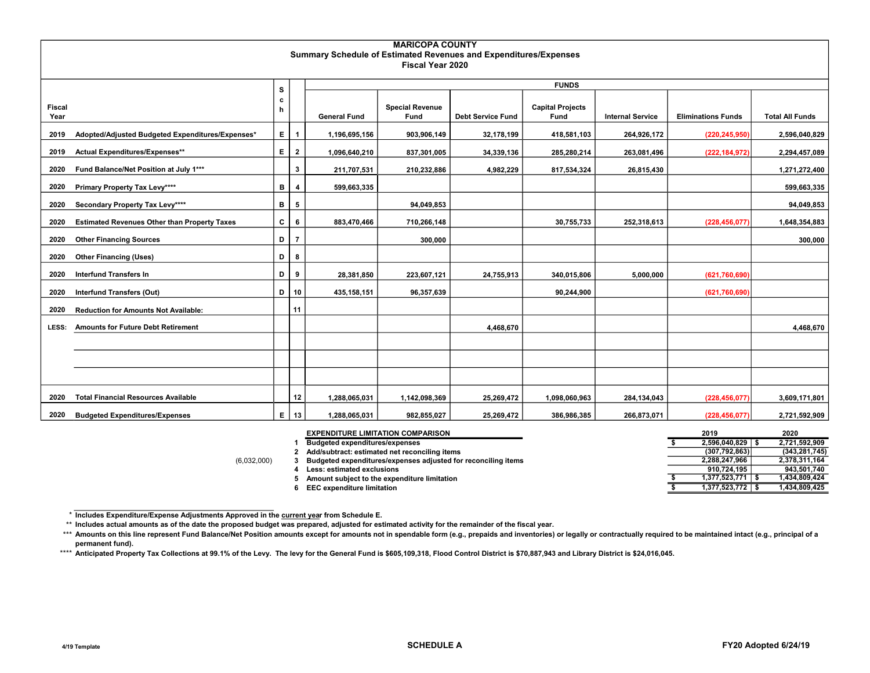|                       |                                                     |    |                         |                                                                  | <b>MARICOPA COUNTY</b>         |                          |                                 |                         |                           |                        |
|-----------------------|-----------------------------------------------------|----|-------------------------|------------------------------------------------------------------|--------------------------------|--------------------------|---------------------------------|-------------------------|---------------------------|------------------------|
|                       |                                                     |    |                         | Summary Schedule of Estimated Revenues and Expenditures/Expenses |                                |                          |                                 |                         |                           |                        |
|                       |                                                     |    |                         |                                                                  | Fiscal Year 2020               |                          |                                 |                         |                           |                        |
|                       |                                                     | s  |                         |                                                                  |                                |                          | <b>FUNDS</b>                    |                         |                           |                        |
|                       |                                                     | c  |                         |                                                                  |                                |                          |                                 |                         |                           |                        |
| <b>Fiscal</b><br>Year |                                                     | h  |                         | <b>General Fund</b>                                              | <b>Special Revenue</b><br>Fund | <b>Debt Service Fund</b> | <b>Capital Projects</b><br>Fund | <b>Internal Service</b> | <b>Eliminations Funds</b> | <b>Total All Funds</b> |
| 2019                  | Adopted/Adjusted Budgeted Expenditures/Expenses*    | E. | $\overline{\mathbf{1}}$ | 1,196,695,156                                                    | 903,906,149                    | 32,178,199               | 418,581,103                     | 264,926,172             | (220, 245, 950)           | 2,596,040,829          |
| 2019                  | Actual Expenditures/Expenses**                      | E. | $\overline{2}$          | 1,096,640,210                                                    | 837,301,005                    | 34,339,136               | 285,280,214                     | 263,081,496             | (222, 184, 972)           | 2,294,457,089          |
| 2020                  | Fund Balance/Net Position at July 1***              |    | 3                       | 211,707,531                                                      | 210,232,886                    | 4,982,229                | 817,534,324                     | 26,815,430              |                           | 1,271,272,400          |
| 2020                  | Primary Property Tax Levy****                       | в  | $\overline{\mathbf{4}}$ | 599,663,335                                                      |                                |                          |                                 |                         |                           | 599,663,335            |
| 2020                  | Secondary Property Tax Levy****                     | в  | 5                       |                                                                  | 94,049,853                     |                          |                                 |                         |                           | 94,049,853             |
| 2020                  | <b>Estimated Revenues Other than Property Taxes</b> | c  | 6                       | 883,470,466                                                      | 710,266,148                    |                          | 30,755,733                      | 252,318,613             | (228, 456, 077)           | 1,648,354,883          |
| 2020                  | <b>Other Financing Sources</b>                      | D  | -7                      |                                                                  | 300,000                        |                          |                                 |                         |                           | 300,000                |
| 2020                  | <b>Other Financing (Uses)</b>                       | D  | 8                       |                                                                  |                                |                          |                                 |                         |                           |                        |
| 2020                  | <b>Interfund Transfers In</b>                       | D  | 9                       | 28,381,850                                                       | 223,607,121                    | 24,755,913               | 340,015,806                     | 5,000,000               | (621, 760, 690)           |                        |
| 2020                  | <b>Interfund Transfers (Out)</b>                    |    | $D$ 10                  | 435,158,151                                                      | 96,357,639                     |                          | 90,244,900                      |                         | (621, 760, 690)           |                        |
| 2020                  | <b>Reduction for Amounts Not Available:</b>         |    | 11                      |                                                                  |                                |                          |                                 |                         |                           |                        |
| LESS:                 | <b>Amounts for Future Debt Retirement</b>           |    |                         |                                                                  |                                | 4,468,670                |                                 |                         |                           | 4,468,670              |
|                       |                                                     |    |                         |                                                                  |                                |                          |                                 |                         |                           |                        |
|                       |                                                     |    |                         |                                                                  |                                |                          |                                 |                         |                           |                        |
|                       |                                                     |    |                         |                                                                  |                                |                          |                                 |                         |                           |                        |
| 2020                  | <b>Total Financial Resources Available</b>          |    | 12                      | 1,288,065,031                                                    | 1,142,098,369                  | 25,269,472               | 1,098,060,963                   | 284,134,043             | (228, 456, 077)           | 3,609,171,801          |
| 2020                  | <b>Budgeted Expenditures/Expenses</b>               |    | $E$   13                | 1,288,065,031                                                    | 982,855,027                    | 25,269,472               | 386,986,385                     | 266,873,071             | (228, 456, 077)           | 2,721,592,909          |

|             | <b>EXPENDITURE LIMITATION COMPARISON</b>                      |  | 2019            | 2020            |
|-------------|---------------------------------------------------------------|--|-----------------|-----------------|
|             | <b>Budgeted expenditures/expenses</b>                         |  | 2.596.040.829   | 2.721.592.909   |
|             | Add/subtract: estimated net reconciling items                 |  | (307, 792, 863) | (343, 281, 745) |
| (6,032,000) | Budgeted expenditures/expenses adjusted for reconciling items |  | 2.288.247.966   | 2,378,311,164   |
|             | Less: estimated exclusions                                    |  | 910.724.195     | 943.501.740     |
|             | Amount subject to the expenditure limitation                  |  | 1.377.523.771   | 1.434.809.424   |
|             | <b>EEC expenditure limitation</b>                             |  | 1,377,523,772   | 1,434,809,425   |

\* Includes Expenditure/Expense Adjustments Approved in the current year from Schedule E.

\*\* Includes actual amounts as of the date the proposed budget was prepared, adjusted for estimated activity for the remainder of the fiscal year.

\*\*\* Amounts on this line represent Fund Balance/Net Position amounts except for amounts not in spendable form (e.g., prepaids and inventories) or legally or contractually required to be maintained intact (e.g., principal o permanent fund).

\*\*\*\* Anticipated Property Tax Collections at 99.1% of the Levy. The levy for the General Fund is \$605,109,318, Flood Control District is \$70,887,943 and Library District is \$24,016,045.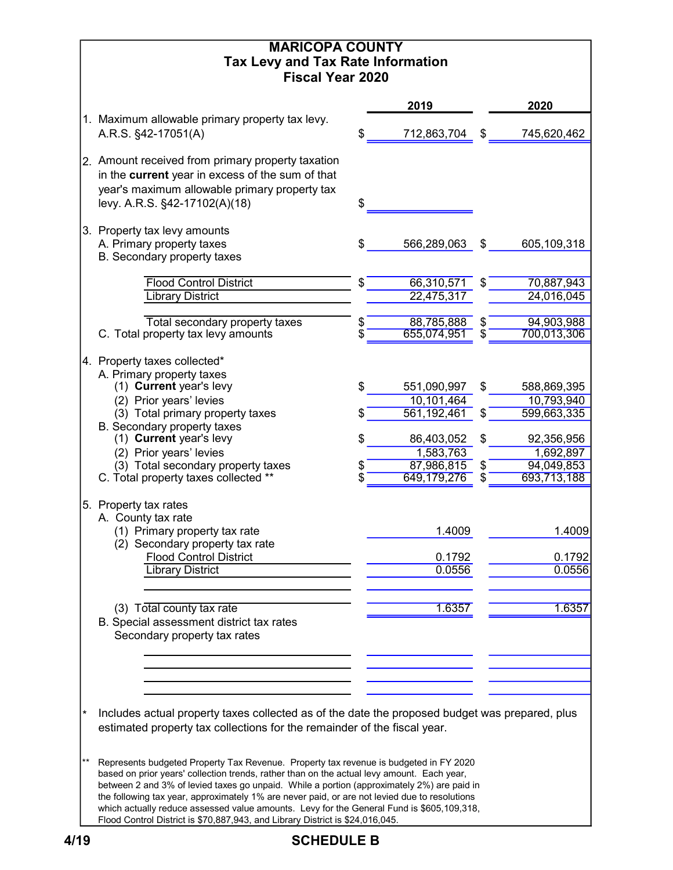|        | <b>MARICOPA COUNTY</b>                                                                                                                                                                   |          |                           |          |                           |
|--------|------------------------------------------------------------------------------------------------------------------------------------------------------------------------------------------|----------|---------------------------|----------|---------------------------|
|        | <b>Tax Levy and Tax Rate Information</b>                                                                                                                                                 |          |                           |          |                           |
|        | <b>Fiscal Year 2020</b>                                                                                                                                                                  |          |                           |          |                           |
|        |                                                                                                                                                                                          |          | 2019                      |          | 2020                      |
|        | 1. Maximum allowable primary property tax levy.<br>A.R.S. §42-17051(A)                                                                                                                   |          | 712,863,704               | \$       | 745,620,462               |
|        |                                                                                                                                                                                          |          |                           |          |                           |
|        | 2. Amount received from primary property taxation                                                                                                                                        |          |                           |          |                           |
|        | in the current year in excess of the sum of that                                                                                                                                         |          |                           |          |                           |
|        | year's maximum allowable primary property tax                                                                                                                                            | \$       |                           |          |                           |
|        | levy. A.R.S. §42-17102(A)(18)                                                                                                                                                            |          |                           |          |                           |
|        | 3. Property tax levy amounts                                                                                                                                                             |          |                           |          |                           |
|        | A. Primary property taxes                                                                                                                                                                |          | 566,289,063               | \$       | 605,109,318               |
|        | B. Secondary property taxes                                                                                                                                                              |          |                           |          |                           |
|        | <b>Flood Control District</b>                                                                                                                                                            |          | 66,310,571                | \$       | 70,887,943                |
|        | <b>Library District</b>                                                                                                                                                                  |          | 22,475,317                |          | 24,016,045                |
|        |                                                                                                                                                                                          |          |                           |          |                           |
|        | Total secondary property taxes<br>C. Total property tax levy amounts                                                                                                                     | \$<br>\$ | 88,785,888<br>655,074,951 | \$<br>\$ | 94,903,988<br>700,013,306 |
|        |                                                                                                                                                                                          |          |                           |          |                           |
|        | 4. Property taxes collected*                                                                                                                                                             |          |                           |          |                           |
|        | A. Primary property taxes<br>(1) Current year's levy                                                                                                                                     | \$       | 551,090,997               | \$       |                           |
|        | (2) Prior years' levies                                                                                                                                                                  |          | 10,101,464                |          | 588,869,395<br>10,793,940 |
|        | (3) Total primary property taxes                                                                                                                                                         |          | 561,192,461               | \$       | 599,663,335               |
|        | B. Secondary property taxes                                                                                                                                                              |          |                           |          |                           |
|        | (1) Current year's levy                                                                                                                                                                  | S        | 86,403,052                | \$       | 92,356,956                |
|        | (2) Prior years' levies<br>(3) Total secondary property taxes                                                                                                                            |          | 1,583,763<br>87,986,815   | \$       | 1,692,897<br>94,049,853   |
|        | C. Total property taxes collected **                                                                                                                                                     |          | 649,179,276               | \$       | 693,713,188               |
|        |                                                                                                                                                                                          |          |                           |          |                           |
|        | 5. Property tax rates<br>A. County tax rate                                                                                                                                              |          |                           |          |                           |
|        | (1) Primary property tax rate                                                                                                                                                            |          | 1.4009                    |          | 1.4009                    |
|        | (2) Secondary property tax rate                                                                                                                                                          |          |                           |          |                           |
|        | <b>Flood Control District</b>                                                                                                                                                            |          | 0.1792                    |          | 0.1792                    |
|        | <b>Library District</b>                                                                                                                                                                  |          | 0.0556                    |          | 0.0556                    |
|        |                                                                                                                                                                                          |          |                           |          |                           |
|        | (3) Total county tax rate                                                                                                                                                                |          | 1.6357                    |          | 1.6357                    |
|        | B. Special assessment district tax rates<br>Secondary property tax rates                                                                                                                 |          |                           |          |                           |
|        |                                                                                                                                                                                          |          |                           |          |                           |
|        |                                                                                                                                                                                          |          |                           |          |                           |
|        |                                                                                                                                                                                          |          |                           |          |                           |
|        |                                                                                                                                                                                          |          |                           |          |                           |
| $\ast$ | Includes actual property taxes collected as of the date the proposed budget was prepared, plus                                                                                           |          |                           |          |                           |
|        | estimated property tax collections for the remainder of the fiscal year.                                                                                                                 |          |                           |          |                           |
|        |                                                                                                                                                                                          |          |                           |          |                           |
| **     | Represents budgeted Property Tax Revenue. Property tax revenue is budgeted in FY 2020                                                                                                    |          |                           |          |                           |
|        | based on prior years' collection trends, rather than on the actual levy amount. Each year,<br>between 2 and 3% of levied taxes go unpaid. While a portion (approximately 2%) are paid in |          |                           |          |                           |
|        | the following tax year, approximately 1% are never paid, or are not levied due to resolutions                                                                                            |          |                           |          |                           |
|        | which actually reduce assessed value amounts. Levy for the General Fund is \$605,109,318,<br>Flood Control District is \$70,887,943, and Library District is \$24,016,045.               |          |                           |          |                           |
|        |                                                                                                                                                                                          |          |                           |          |                           |

# 4/19 SCHEDULE B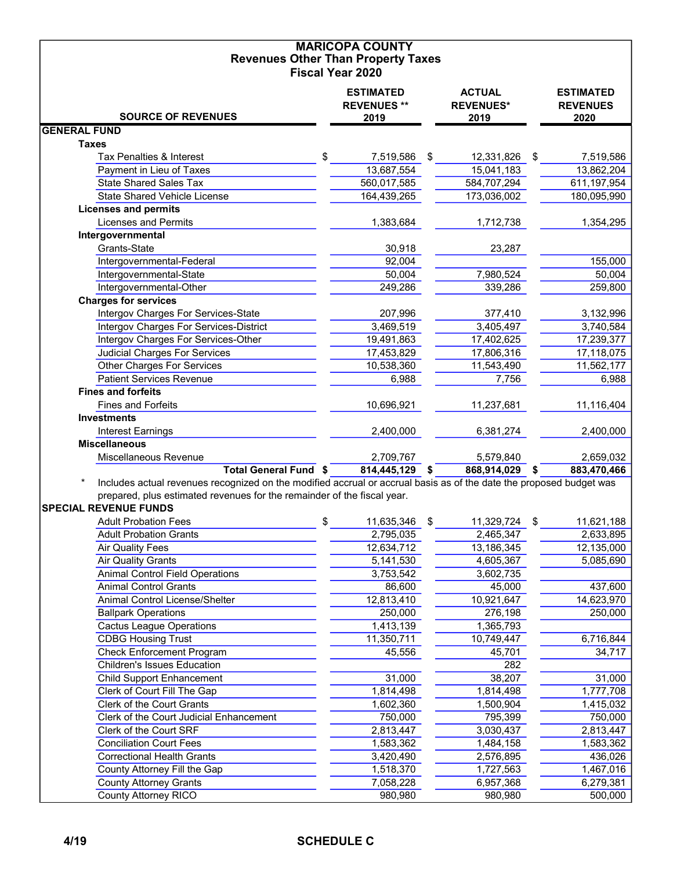| <b>Revenues Other Than Property Taxes</b><br><b>Fiscal Year 2020</b><br><b>ESTIMATED</b><br><b>ACTUAL</b><br><b>ESTIMATED</b><br><b>REVENUES **</b><br><b>REVENUES*</b><br><b>REVENUES</b><br><b>SOURCE OF REVENUES</b><br>2019<br>2019<br>2020<br><b>GENERAL FUND</b><br><b>Taxes</b><br>\$<br>Tax Penalties & Interest<br>7,519,586<br>\$<br>12,331,826<br>7,519,586<br>\$<br>Payment in Lieu of Taxes<br>13,687,554<br>15,041,183<br>13,862,204<br><b>State Shared Sales Tax</b><br>560,017,585<br>584,707,294<br>611,197,954<br><b>State Shared Vehicle License</b><br>173,036,002<br>164,439,265<br>180,095,990<br><b>Licenses and permits</b><br><b>Licenses and Permits</b><br>1,383,684<br>1,712,738<br>1,354,295<br>Intergovernmental<br>Grants-State<br>30,918<br>23,287<br>Intergovernmental-Federal<br>92,004<br>155,000<br>50,004<br>Intergovernmental-State<br>50,004<br>7,980,524<br>339,286<br>259,800<br>Intergovernmental-Other<br>249,286<br><b>Charges for services</b><br>Intergov Charges For Services-State<br>207,996<br>3,132,996<br>377,410<br>Intergov Charges For Services-District<br>3,469,519<br>3,405,497<br>3,740,584<br>Intergov Charges For Services-Other<br>19,491,863<br>17,402,625<br>17,239,377<br><b>Judicial Charges For Services</b><br>17,453,829<br>17,806,316<br>17,118,075<br><b>Other Charges For Services</b><br>10,538,360<br>11,543,490<br>11,562,177<br><b>Patient Services Revenue</b><br>6,988<br>7,756<br>6,988<br><b>Fines and forfeits</b><br><b>Fines and Forfeits</b><br>10,696,921<br>11,237,681<br>11,116,404<br><b>Investments</b><br>Interest Earnings<br>2,400,000<br>6,381,274<br>2,400,000<br><b>Miscellaneous</b><br>Miscellaneous Revenue<br>2,709,767<br>5,579,840<br>2,659,032<br><b>Total General Fund \$</b><br>814,445,129 \$<br>868,914,029 \$<br>883,470,466<br>Includes actual revenues recognized on the modified accrual or accrual basis as of the date the proposed budget was<br>prepared, plus estimated revenues for the remainder of the fiscal year.<br><b>SPECIAL REVENUE FUNDS</b><br>\$<br><b>Adult Probation Fees</b><br>11,635,346<br>\$<br>11,329,724<br>11,621,188<br><b>Adult Probation Grants</b><br>2,633,895<br>2,795,035<br>2,465,347<br><b>Air Quality Fees</b><br>12,634,712<br>13,186,345<br>12,135,000<br><b>Air Quality Grants</b><br>5,141,530<br>4,605,367<br>5,085,690<br><b>Animal Control Field Operations</b><br>3,753,542<br>3,602,735<br>437,600<br><b>Animal Control Grants</b><br>86,600<br>45,000<br>Animal Control License/Shelter<br>12,813,410<br>14,623,970<br>10,921,647<br><b>Ballpark Operations</b><br>250,000<br>276,198<br>250,000<br>1,413,139<br>1,365,793<br><b>Cactus League Operations</b><br>6,716,844<br><b>CDBG Housing Trust</b><br>11,350,711<br>10,749,447<br><b>Check Enforcement Program</b><br>34,717<br>45,556<br>45,701<br><b>Children's Issues Education</b><br>282<br>38,207<br>31,000<br><b>Child Support Enhancement</b><br>31,000<br>Clerk of Court Fill The Gap<br>1,814,498<br>1,777,708<br>1,814,498<br>Clerk of the Court Grants<br>1,602,360<br>1,415,032<br>1,500,904<br>Clerk of the Court Judicial Enhancement<br>750,000<br>750,000<br>795,399<br>Clerk of the Court SRF<br>2,813,447<br>3,030,437<br>2,813,447<br><b>Conciliation Court Fees</b><br>1,583,362<br>1,583,362<br>1,484,158<br><b>Correctional Health Grants</b><br>3,420,490<br>2,576,895<br>436,026<br>County Attorney Fill the Gap<br>1,518,370<br>1,727,563<br>1,467,016<br><b>County Attorney Grants</b><br>7,058,228<br>6,957,368<br>6,279,381<br><b>County Attorney RICO</b><br>980,980<br>980,980<br>500,000 |  | <b>MARICOPA COUNTY</b> |  |  |
|--------------------------------------------------------------------------------------------------------------------------------------------------------------------------------------------------------------------------------------------------------------------------------------------------------------------------------------------------------------------------------------------------------------------------------------------------------------------------------------------------------------------------------------------------------------------------------------------------------------------------------------------------------------------------------------------------------------------------------------------------------------------------------------------------------------------------------------------------------------------------------------------------------------------------------------------------------------------------------------------------------------------------------------------------------------------------------------------------------------------------------------------------------------------------------------------------------------------------------------------------------------------------------------------------------------------------------------------------------------------------------------------------------------------------------------------------------------------------------------------------------------------------------------------------------------------------------------------------------------------------------------------------------------------------------------------------------------------------------------------------------------------------------------------------------------------------------------------------------------------------------------------------------------------------------------------------------------------------------------------------------------------------------------------------------------------------------------------------------------------------------------------------------------------------------------------------------------------------------------------------------------------------------------------------------------------------------------------------------------------------------------------------------------------------------------------------------------------------------------------------------------------------------------------------------------------------------------------------------------------------------------------------------------------------------------------------------------------------------------------------------------------------------------------------------------------------------------------------------------------------------------------------------------------------------------------------------------------------------------------------------------------------------------------------------------------------------------------------------------------------------------------------------------------------------------------------------------------------------------------------------------------------------------------------------------------------------------------------------------------------------------------------------------------------------------------------------------------------------------------------------------------------------------------------------------------------------------------------------------------------------------------|--|------------------------|--|--|
|                                                                                                                                                                                                                                                                                                                                                                                                                                                                                                                                                                                                                                                                                                                                                                                                                                                                                                                                                                                                                                                                                                                                                                                                                                                                                                                                                                                                                                                                                                                                                                                                                                                                                                                                                                                                                                                                                                                                                                                                                                                                                                                                                                                                                                                                                                                                                                                                                                                                                                                                                                                                                                                                                                                                                                                                                                                                                                                                                                                                                                                                                                                                                                                                                                                                                                                                                                                                                                                                                                                                                                                                                                            |  |                        |  |  |
|                                                                                                                                                                                                                                                                                                                                                                                                                                                                                                                                                                                                                                                                                                                                                                                                                                                                                                                                                                                                                                                                                                                                                                                                                                                                                                                                                                                                                                                                                                                                                                                                                                                                                                                                                                                                                                                                                                                                                                                                                                                                                                                                                                                                                                                                                                                                                                                                                                                                                                                                                                                                                                                                                                                                                                                                                                                                                                                                                                                                                                                                                                                                                                                                                                                                                                                                                                                                                                                                                                                                                                                                                                            |  |                        |  |  |
|                                                                                                                                                                                                                                                                                                                                                                                                                                                                                                                                                                                                                                                                                                                                                                                                                                                                                                                                                                                                                                                                                                                                                                                                                                                                                                                                                                                                                                                                                                                                                                                                                                                                                                                                                                                                                                                                                                                                                                                                                                                                                                                                                                                                                                                                                                                                                                                                                                                                                                                                                                                                                                                                                                                                                                                                                                                                                                                                                                                                                                                                                                                                                                                                                                                                                                                                                                                                                                                                                                                                                                                                                                            |  |                        |  |  |
|                                                                                                                                                                                                                                                                                                                                                                                                                                                                                                                                                                                                                                                                                                                                                                                                                                                                                                                                                                                                                                                                                                                                                                                                                                                                                                                                                                                                                                                                                                                                                                                                                                                                                                                                                                                                                                                                                                                                                                                                                                                                                                                                                                                                                                                                                                                                                                                                                                                                                                                                                                                                                                                                                                                                                                                                                                                                                                                                                                                                                                                                                                                                                                                                                                                                                                                                                                                                                                                                                                                                                                                                                                            |  |                        |  |  |
|                                                                                                                                                                                                                                                                                                                                                                                                                                                                                                                                                                                                                                                                                                                                                                                                                                                                                                                                                                                                                                                                                                                                                                                                                                                                                                                                                                                                                                                                                                                                                                                                                                                                                                                                                                                                                                                                                                                                                                                                                                                                                                                                                                                                                                                                                                                                                                                                                                                                                                                                                                                                                                                                                                                                                                                                                                                                                                                                                                                                                                                                                                                                                                                                                                                                                                                                                                                                                                                                                                                                                                                                                                            |  |                        |  |  |
|                                                                                                                                                                                                                                                                                                                                                                                                                                                                                                                                                                                                                                                                                                                                                                                                                                                                                                                                                                                                                                                                                                                                                                                                                                                                                                                                                                                                                                                                                                                                                                                                                                                                                                                                                                                                                                                                                                                                                                                                                                                                                                                                                                                                                                                                                                                                                                                                                                                                                                                                                                                                                                                                                                                                                                                                                                                                                                                                                                                                                                                                                                                                                                                                                                                                                                                                                                                                                                                                                                                                                                                                                                            |  |                        |  |  |
|                                                                                                                                                                                                                                                                                                                                                                                                                                                                                                                                                                                                                                                                                                                                                                                                                                                                                                                                                                                                                                                                                                                                                                                                                                                                                                                                                                                                                                                                                                                                                                                                                                                                                                                                                                                                                                                                                                                                                                                                                                                                                                                                                                                                                                                                                                                                                                                                                                                                                                                                                                                                                                                                                                                                                                                                                                                                                                                                                                                                                                                                                                                                                                                                                                                                                                                                                                                                                                                                                                                                                                                                                                            |  |                        |  |  |
|                                                                                                                                                                                                                                                                                                                                                                                                                                                                                                                                                                                                                                                                                                                                                                                                                                                                                                                                                                                                                                                                                                                                                                                                                                                                                                                                                                                                                                                                                                                                                                                                                                                                                                                                                                                                                                                                                                                                                                                                                                                                                                                                                                                                                                                                                                                                                                                                                                                                                                                                                                                                                                                                                                                                                                                                                                                                                                                                                                                                                                                                                                                                                                                                                                                                                                                                                                                                                                                                                                                                                                                                                                            |  |                        |  |  |
|                                                                                                                                                                                                                                                                                                                                                                                                                                                                                                                                                                                                                                                                                                                                                                                                                                                                                                                                                                                                                                                                                                                                                                                                                                                                                                                                                                                                                                                                                                                                                                                                                                                                                                                                                                                                                                                                                                                                                                                                                                                                                                                                                                                                                                                                                                                                                                                                                                                                                                                                                                                                                                                                                                                                                                                                                                                                                                                                                                                                                                                                                                                                                                                                                                                                                                                                                                                                                                                                                                                                                                                                                                            |  |                        |  |  |
|                                                                                                                                                                                                                                                                                                                                                                                                                                                                                                                                                                                                                                                                                                                                                                                                                                                                                                                                                                                                                                                                                                                                                                                                                                                                                                                                                                                                                                                                                                                                                                                                                                                                                                                                                                                                                                                                                                                                                                                                                                                                                                                                                                                                                                                                                                                                                                                                                                                                                                                                                                                                                                                                                                                                                                                                                                                                                                                                                                                                                                                                                                                                                                                                                                                                                                                                                                                                                                                                                                                                                                                                                                            |  |                        |  |  |
|                                                                                                                                                                                                                                                                                                                                                                                                                                                                                                                                                                                                                                                                                                                                                                                                                                                                                                                                                                                                                                                                                                                                                                                                                                                                                                                                                                                                                                                                                                                                                                                                                                                                                                                                                                                                                                                                                                                                                                                                                                                                                                                                                                                                                                                                                                                                                                                                                                                                                                                                                                                                                                                                                                                                                                                                                                                                                                                                                                                                                                                                                                                                                                                                                                                                                                                                                                                                                                                                                                                                                                                                                                            |  |                        |  |  |
|                                                                                                                                                                                                                                                                                                                                                                                                                                                                                                                                                                                                                                                                                                                                                                                                                                                                                                                                                                                                                                                                                                                                                                                                                                                                                                                                                                                                                                                                                                                                                                                                                                                                                                                                                                                                                                                                                                                                                                                                                                                                                                                                                                                                                                                                                                                                                                                                                                                                                                                                                                                                                                                                                                                                                                                                                                                                                                                                                                                                                                                                                                                                                                                                                                                                                                                                                                                                                                                                                                                                                                                                                                            |  |                        |  |  |
|                                                                                                                                                                                                                                                                                                                                                                                                                                                                                                                                                                                                                                                                                                                                                                                                                                                                                                                                                                                                                                                                                                                                                                                                                                                                                                                                                                                                                                                                                                                                                                                                                                                                                                                                                                                                                                                                                                                                                                                                                                                                                                                                                                                                                                                                                                                                                                                                                                                                                                                                                                                                                                                                                                                                                                                                                                                                                                                                                                                                                                                                                                                                                                                                                                                                                                                                                                                                                                                                                                                                                                                                                                            |  |                        |  |  |
|                                                                                                                                                                                                                                                                                                                                                                                                                                                                                                                                                                                                                                                                                                                                                                                                                                                                                                                                                                                                                                                                                                                                                                                                                                                                                                                                                                                                                                                                                                                                                                                                                                                                                                                                                                                                                                                                                                                                                                                                                                                                                                                                                                                                                                                                                                                                                                                                                                                                                                                                                                                                                                                                                                                                                                                                                                                                                                                                                                                                                                                                                                                                                                                                                                                                                                                                                                                                                                                                                                                                                                                                                                            |  |                        |  |  |
|                                                                                                                                                                                                                                                                                                                                                                                                                                                                                                                                                                                                                                                                                                                                                                                                                                                                                                                                                                                                                                                                                                                                                                                                                                                                                                                                                                                                                                                                                                                                                                                                                                                                                                                                                                                                                                                                                                                                                                                                                                                                                                                                                                                                                                                                                                                                                                                                                                                                                                                                                                                                                                                                                                                                                                                                                                                                                                                                                                                                                                                                                                                                                                                                                                                                                                                                                                                                                                                                                                                                                                                                                                            |  |                        |  |  |
|                                                                                                                                                                                                                                                                                                                                                                                                                                                                                                                                                                                                                                                                                                                                                                                                                                                                                                                                                                                                                                                                                                                                                                                                                                                                                                                                                                                                                                                                                                                                                                                                                                                                                                                                                                                                                                                                                                                                                                                                                                                                                                                                                                                                                                                                                                                                                                                                                                                                                                                                                                                                                                                                                                                                                                                                                                                                                                                                                                                                                                                                                                                                                                                                                                                                                                                                                                                                                                                                                                                                                                                                                                            |  |                        |  |  |
|                                                                                                                                                                                                                                                                                                                                                                                                                                                                                                                                                                                                                                                                                                                                                                                                                                                                                                                                                                                                                                                                                                                                                                                                                                                                                                                                                                                                                                                                                                                                                                                                                                                                                                                                                                                                                                                                                                                                                                                                                                                                                                                                                                                                                                                                                                                                                                                                                                                                                                                                                                                                                                                                                                                                                                                                                                                                                                                                                                                                                                                                                                                                                                                                                                                                                                                                                                                                                                                                                                                                                                                                                                            |  |                        |  |  |
|                                                                                                                                                                                                                                                                                                                                                                                                                                                                                                                                                                                                                                                                                                                                                                                                                                                                                                                                                                                                                                                                                                                                                                                                                                                                                                                                                                                                                                                                                                                                                                                                                                                                                                                                                                                                                                                                                                                                                                                                                                                                                                                                                                                                                                                                                                                                                                                                                                                                                                                                                                                                                                                                                                                                                                                                                                                                                                                                                                                                                                                                                                                                                                                                                                                                                                                                                                                                                                                                                                                                                                                                                                            |  |                        |  |  |
|                                                                                                                                                                                                                                                                                                                                                                                                                                                                                                                                                                                                                                                                                                                                                                                                                                                                                                                                                                                                                                                                                                                                                                                                                                                                                                                                                                                                                                                                                                                                                                                                                                                                                                                                                                                                                                                                                                                                                                                                                                                                                                                                                                                                                                                                                                                                                                                                                                                                                                                                                                                                                                                                                                                                                                                                                                                                                                                                                                                                                                                                                                                                                                                                                                                                                                                                                                                                                                                                                                                                                                                                                                            |  |                        |  |  |
|                                                                                                                                                                                                                                                                                                                                                                                                                                                                                                                                                                                                                                                                                                                                                                                                                                                                                                                                                                                                                                                                                                                                                                                                                                                                                                                                                                                                                                                                                                                                                                                                                                                                                                                                                                                                                                                                                                                                                                                                                                                                                                                                                                                                                                                                                                                                                                                                                                                                                                                                                                                                                                                                                                                                                                                                                                                                                                                                                                                                                                                                                                                                                                                                                                                                                                                                                                                                                                                                                                                                                                                                                                            |  |                        |  |  |
|                                                                                                                                                                                                                                                                                                                                                                                                                                                                                                                                                                                                                                                                                                                                                                                                                                                                                                                                                                                                                                                                                                                                                                                                                                                                                                                                                                                                                                                                                                                                                                                                                                                                                                                                                                                                                                                                                                                                                                                                                                                                                                                                                                                                                                                                                                                                                                                                                                                                                                                                                                                                                                                                                                                                                                                                                                                                                                                                                                                                                                                                                                                                                                                                                                                                                                                                                                                                                                                                                                                                                                                                                                            |  |                        |  |  |
|                                                                                                                                                                                                                                                                                                                                                                                                                                                                                                                                                                                                                                                                                                                                                                                                                                                                                                                                                                                                                                                                                                                                                                                                                                                                                                                                                                                                                                                                                                                                                                                                                                                                                                                                                                                                                                                                                                                                                                                                                                                                                                                                                                                                                                                                                                                                                                                                                                                                                                                                                                                                                                                                                                                                                                                                                                                                                                                                                                                                                                                                                                                                                                                                                                                                                                                                                                                                                                                                                                                                                                                                                                            |  |                        |  |  |
|                                                                                                                                                                                                                                                                                                                                                                                                                                                                                                                                                                                                                                                                                                                                                                                                                                                                                                                                                                                                                                                                                                                                                                                                                                                                                                                                                                                                                                                                                                                                                                                                                                                                                                                                                                                                                                                                                                                                                                                                                                                                                                                                                                                                                                                                                                                                                                                                                                                                                                                                                                                                                                                                                                                                                                                                                                                                                                                                                                                                                                                                                                                                                                                                                                                                                                                                                                                                                                                                                                                                                                                                                                            |  |                        |  |  |
|                                                                                                                                                                                                                                                                                                                                                                                                                                                                                                                                                                                                                                                                                                                                                                                                                                                                                                                                                                                                                                                                                                                                                                                                                                                                                                                                                                                                                                                                                                                                                                                                                                                                                                                                                                                                                                                                                                                                                                                                                                                                                                                                                                                                                                                                                                                                                                                                                                                                                                                                                                                                                                                                                                                                                                                                                                                                                                                                                                                                                                                                                                                                                                                                                                                                                                                                                                                                                                                                                                                                                                                                                                            |  |                        |  |  |
|                                                                                                                                                                                                                                                                                                                                                                                                                                                                                                                                                                                                                                                                                                                                                                                                                                                                                                                                                                                                                                                                                                                                                                                                                                                                                                                                                                                                                                                                                                                                                                                                                                                                                                                                                                                                                                                                                                                                                                                                                                                                                                                                                                                                                                                                                                                                                                                                                                                                                                                                                                                                                                                                                                                                                                                                                                                                                                                                                                                                                                                                                                                                                                                                                                                                                                                                                                                                                                                                                                                                                                                                                                            |  |                        |  |  |
|                                                                                                                                                                                                                                                                                                                                                                                                                                                                                                                                                                                                                                                                                                                                                                                                                                                                                                                                                                                                                                                                                                                                                                                                                                                                                                                                                                                                                                                                                                                                                                                                                                                                                                                                                                                                                                                                                                                                                                                                                                                                                                                                                                                                                                                                                                                                                                                                                                                                                                                                                                                                                                                                                                                                                                                                                                                                                                                                                                                                                                                                                                                                                                                                                                                                                                                                                                                                                                                                                                                                                                                                                                            |  |                        |  |  |
|                                                                                                                                                                                                                                                                                                                                                                                                                                                                                                                                                                                                                                                                                                                                                                                                                                                                                                                                                                                                                                                                                                                                                                                                                                                                                                                                                                                                                                                                                                                                                                                                                                                                                                                                                                                                                                                                                                                                                                                                                                                                                                                                                                                                                                                                                                                                                                                                                                                                                                                                                                                                                                                                                                                                                                                                                                                                                                                                                                                                                                                                                                                                                                                                                                                                                                                                                                                                                                                                                                                                                                                                                                            |  |                        |  |  |
|                                                                                                                                                                                                                                                                                                                                                                                                                                                                                                                                                                                                                                                                                                                                                                                                                                                                                                                                                                                                                                                                                                                                                                                                                                                                                                                                                                                                                                                                                                                                                                                                                                                                                                                                                                                                                                                                                                                                                                                                                                                                                                                                                                                                                                                                                                                                                                                                                                                                                                                                                                                                                                                                                                                                                                                                                                                                                                                                                                                                                                                                                                                                                                                                                                                                                                                                                                                                                                                                                                                                                                                                                                            |  |                        |  |  |
|                                                                                                                                                                                                                                                                                                                                                                                                                                                                                                                                                                                                                                                                                                                                                                                                                                                                                                                                                                                                                                                                                                                                                                                                                                                                                                                                                                                                                                                                                                                                                                                                                                                                                                                                                                                                                                                                                                                                                                                                                                                                                                                                                                                                                                                                                                                                                                                                                                                                                                                                                                                                                                                                                                                                                                                                                                                                                                                                                                                                                                                                                                                                                                                                                                                                                                                                                                                                                                                                                                                                                                                                                                            |  |                        |  |  |
|                                                                                                                                                                                                                                                                                                                                                                                                                                                                                                                                                                                                                                                                                                                                                                                                                                                                                                                                                                                                                                                                                                                                                                                                                                                                                                                                                                                                                                                                                                                                                                                                                                                                                                                                                                                                                                                                                                                                                                                                                                                                                                                                                                                                                                                                                                                                                                                                                                                                                                                                                                                                                                                                                                                                                                                                                                                                                                                                                                                                                                                                                                                                                                                                                                                                                                                                                                                                                                                                                                                                                                                                                                            |  |                        |  |  |
|                                                                                                                                                                                                                                                                                                                                                                                                                                                                                                                                                                                                                                                                                                                                                                                                                                                                                                                                                                                                                                                                                                                                                                                                                                                                                                                                                                                                                                                                                                                                                                                                                                                                                                                                                                                                                                                                                                                                                                                                                                                                                                                                                                                                                                                                                                                                                                                                                                                                                                                                                                                                                                                                                                                                                                                                                                                                                                                                                                                                                                                                                                                                                                                                                                                                                                                                                                                                                                                                                                                                                                                                                                            |  |                        |  |  |
|                                                                                                                                                                                                                                                                                                                                                                                                                                                                                                                                                                                                                                                                                                                                                                                                                                                                                                                                                                                                                                                                                                                                                                                                                                                                                                                                                                                                                                                                                                                                                                                                                                                                                                                                                                                                                                                                                                                                                                                                                                                                                                                                                                                                                                                                                                                                                                                                                                                                                                                                                                                                                                                                                                                                                                                                                                                                                                                                                                                                                                                                                                                                                                                                                                                                                                                                                                                                                                                                                                                                                                                                                                            |  |                        |  |  |
|                                                                                                                                                                                                                                                                                                                                                                                                                                                                                                                                                                                                                                                                                                                                                                                                                                                                                                                                                                                                                                                                                                                                                                                                                                                                                                                                                                                                                                                                                                                                                                                                                                                                                                                                                                                                                                                                                                                                                                                                                                                                                                                                                                                                                                                                                                                                                                                                                                                                                                                                                                                                                                                                                                                                                                                                                                                                                                                                                                                                                                                                                                                                                                                                                                                                                                                                                                                                                                                                                                                                                                                                                                            |  |                        |  |  |
|                                                                                                                                                                                                                                                                                                                                                                                                                                                                                                                                                                                                                                                                                                                                                                                                                                                                                                                                                                                                                                                                                                                                                                                                                                                                                                                                                                                                                                                                                                                                                                                                                                                                                                                                                                                                                                                                                                                                                                                                                                                                                                                                                                                                                                                                                                                                                                                                                                                                                                                                                                                                                                                                                                                                                                                                                                                                                                                                                                                                                                                                                                                                                                                                                                                                                                                                                                                                                                                                                                                                                                                                                                            |  |                        |  |  |
|                                                                                                                                                                                                                                                                                                                                                                                                                                                                                                                                                                                                                                                                                                                                                                                                                                                                                                                                                                                                                                                                                                                                                                                                                                                                                                                                                                                                                                                                                                                                                                                                                                                                                                                                                                                                                                                                                                                                                                                                                                                                                                                                                                                                                                                                                                                                                                                                                                                                                                                                                                                                                                                                                                                                                                                                                                                                                                                                                                                                                                                                                                                                                                                                                                                                                                                                                                                                                                                                                                                                                                                                                                            |  |                        |  |  |
|                                                                                                                                                                                                                                                                                                                                                                                                                                                                                                                                                                                                                                                                                                                                                                                                                                                                                                                                                                                                                                                                                                                                                                                                                                                                                                                                                                                                                                                                                                                                                                                                                                                                                                                                                                                                                                                                                                                                                                                                                                                                                                                                                                                                                                                                                                                                                                                                                                                                                                                                                                                                                                                                                                                                                                                                                                                                                                                                                                                                                                                                                                                                                                                                                                                                                                                                                                                                                                                                                                                                                                                                                                            |  |                        |  |  |
|                                                                                                                                                                                                                                                                                                                                                                                                                                                                                                                                                                                                                                                                                                                                                                                                                                                                                                                                                                                                                                                                                                                                                                                                                                                                                                                                                                                                                                                                                                                                                                                                                                                                                                                                                                                                                                                                                                                                                                                                                                                                                                                                                                                                                                                                                                                                                                                                                                                                                                                                                                                                                                                                                                                                                                                                                                                                                                                                                                                                                                                                                                                                                                                                                                                                                                                                                                                                                                                                                                                                                                                                                                            |  |                        |  |  |
|                                                                                                                                                                                                                                                                                                                                                                                                                                                                                                                                                                                                                                                                                                                                                                                                                                                                                                                                                                                                                                                                                                                                                                                                                                                                                                                                                                                                                                                                                                                                                                                                                                                                                                                                                                                                                                                                                                                                                                                                                                                                                                                                                                                                                                                                                                                                                                                                                                                                                                                                                                                                                                                                                                                                                                                                                                                                                                                                                                                                                                                                                                                                                                                                                                                                                                                                                                                                                                                                                                                                                                                                                                            |  |                        |  |  |
|                                                                                                                                                                                                                                                                                                                                                                                                                                                                                                                                                                                                                                                                                                                                                                                                                                                                                                                                                                                                                                                                                                                                                                                                                                                                                                                                                                                                                                                                                                                                                                                                                                                                                                                                                                                                                                                                                                                                                                                                                                                                                                                                                                                                                                                                                                                                                                                                                                                                                                                                                                                                                                                                                                                                                                                                                                                                                                                                                                                                                                                                                                                                                                                                                                                                                                                                                                                                                                                                                                                                                                                                                                            |  |                        |  |  |
|                                                                                                                                                                                                                                                                                                                                                                                                                                                                                                                                                                                                                                                                                                                                                                                                                                                                                                                                                                                                                                                                                                                                                                                                                                                                                                                                                                                                                                                                                                                                                                                                                                                                                                                                                                                                                                                                                                                                                                                                                                                                                                                                                                                                                                                                                                                                                                                                                                                                                                                                                                                                                                                                                                                                                                                                                                                                                                                                                                                                                                                                                                                                                                                                                                                                                                                                                                                                                                                                                                                                                                                                                                            |  |                        |  |  |
|                                                                                                                                                                                                                                                                                                                                                                                                                                                                                                                                                                                                                                                                                                                                                                                                                                                                                                                                                                                                                                                                                                                                                                                                                                                                                                                                                                                                                                                                                                                                                                                                                                                                                                                                                                                                                                                                                                                                                                                                                                                                                                                                                                                                                                                                                                                                                                                                                                                                                                                                                                                                                                                                                                                                                                                                                                                                                                                                                                                                                                                                                                                                                                                                                                                                                                                                                                                                                                                                                                                                                                                                                                            |  |                        |  |  |
|                                                                                                                                                                                                                                                                                                                                                                                                                                                                                                                                                                                                                                                                                                                                                                                                                                                                                                                                                                                                                                                                                                                                                                                                                                                                                                                                                                                                                                                                                                                                                                                                                                                                                                                                                                                                                                                                                                                                                                                                                                                                                                                                                                                                                                                                                                                                                                                                                                                                                                                                                                                                                                                                                                                                                                                                                                                                                                                                                                                                                                                                                                                                                                                                                                                                                                                                                                                                                                                                                                                                                                                                                                            |  |                        |  |  |
|                                                                                                                                                                                                                                                                                                                                                                                                                                                                                                                                                                                                                                                                                                                                                                                                                                                                                                                                                                                                                                                                                                                                                                                                                                                                                                                                                                                                                                                                                                                                                                                                                                                                                                                                                                                                                                                                                                                                                                                                                                                                                                                                                                                                                                                                                                                                                                                                                                                                                                                                                                                                                                                                                                                                                                                                                                                                                                                                                                                                                                                                                                                                                                                                                                                                                                                                                                                                                                                                                                                                                                                                                                            |  |                        |  |  |
|                                                                                                                                                                                                                                                                                                                                                                                                                                                                                                                                                                                                                                                                                                                                                                                                                                                                                                                                                                                                                                                                                                                                                                                                                                                                                                                                                                                                                                                                                                                                                                                                                                                                                                                                                                                                                                                                                                                                                                                                                                                                                                                                                                                                                                                                                                                                                                                                                                                                                                                                                                                                                                                                                                                                                                                                                                                                                                                                                                                                                                                                                                                                                                                                                                                                                                                                                                                                                                                                                                                                                                                                                                            |  |                        |  |  |
|                                                                                                                                                                                                                                                                                                                                                                                                                                                                                                                                                                                                                                                                                                                                                                                                                                                                                                                                                                                                                                                                                                                                                                                                                                                                                                                                                                                                                                                                                                                                                                                                                                                                                                                                                                                                                                                                                                                                                                                                                                                                                                                                                                                                                                                                                                                                                                                                                                                                                                                                                                                                                                                                                                                                                                                                                                                                                                                                                                                                                                                                                                                                                                                                                                                                                                                                                                                                                                                                                                                                                                                                                                            |  |                        |  |  |
|                                                                                                                                                                                                                                                                                                                                                                                                                                                                                                                                                                                                                                                                                                                                                                                                                                                                                                                                                                                                                                                                                                                                                                                                                                                                                                                                                                                                                                                                                                                                                                                                                                                                                                                                                                                                                                                                                                                                                                                                                                                                                                                                                                                                                                                                                                                                                                                                                                                                                                                                                                                                                                                                                                                                                                                                                                                                                                                                                                                                                                                                                                                                                                                                                                                                                                                                                                                                                                                                                                                                                                                                                                            |  |                        |  |  |
|                                                                                                                                                                                                                                                                                                                                                                                                                                                                                                                                                                                                                                                                                                                                                                                                                                                                                                                                                                                                                                                                                                                                                                                                                                                                                                                                                                                                                                                                                                                                                                                                                                                                                                                                                                                                                                                                                                                                                                                                                                                                                                                                                                                                                                                                                                                                                                                                                                                                                                                                                                                                                                                                                                                                                                                                                                                                                                                                                                                                                                                                                                                                                                                                                                                                                                                                                                                                                                                                                                                                                                                                                                            |  |                        |  |  |
|                                                                                                                                                                                                                                                                                                                                                                                                                                                                                                                                                                                                                                                                                                                                                                                                                                                                                                                                                                                                                                                                                                                                                                                                                                                                                                                                                                                                                                                                                                                                                                                                                                                                                                                                                                                                                                                                                                                                                                                                                                                                                                                                                                                                                                                                                                                                                                                                                                                                                                                                                                                                                                                                                                                                                                                                                                                                                                                                                                                                                                                                                                                                                                                                                                                                                                                                                                                                                                                                                                                                                                                                                                            |  |                        |  |  |
|                                                                                                                                                                                                                                                                                                                                                                                                                                                                                                                                                                                                                                                                                                                                                                                                                                                                                                                                                                                                                                                                                                                                                                                                                                                                                                                                                                                                                                                                                                                                                                                                                                                                                                                                                                                                                                                                                                                                                                                                                                                                                                                                                                                                                                                                                                                                                                                                                                                                                                                                                                                                                                                                                                                                                                                                                                                                                                                                                                                                                                                                                                                                                                                                                                                                                                                                                                                                                                                                                                                                                                                                                                            |  |                        |  |  |
|                                                                                                                                                                                                                                                                                                                                                                                                                                                                                                                                                                                                                                                                                                                                                                                                                                                                                                                                                                                                                                                                                                                                                                                                                                                                                                                                                                                                                                                                                                                                                                                                                                                                                                                                                                                                                                                                                                                                                                                                                                                                                                                                                                                                                                                                                                                                                                                                                                                                                                                                                                                                                                                                                                                                                                                                                                                                                                                                                                                                                                                                                                                                                                                                                                                                                                                                                                                                                                                                                                                                                                                                                                            |  |                        |  |  |
|                                                                                                                                                                                                                                                                                                                                                                                                                                                                                                                                                                                                                                                                                                                                                                                                                                                                                                                                                                                                                                                                                                                                                                                                                                                                                                                                                                                                                                                                                                                                                                                                                                                                                                                                                                                                                                                                                                                                                                                                                                                                                                                                                                                                                                                                                                                                                                                                                                                                                                                                                                                                                                                                                                                                                                                                                                                                                                                                                                                                                                                                                                                                                                                                                                                                                                                                                                                                                                                                                                                                                                                                                                            |  |                        |  |  |
|                                                                                                                                                                                                                                                                                                                                                                                                                                                                                                                                                                                                                                                                                                                                                                                                                                                                                                                                                                                                                                                                                                                                                                                                                                                                                                                                                                                                                                                                                                                                                                                                                                                                                                                                                                                                                                                                                                                                                                                                                                                                                                                                                                                                                                                                                                                                                                                                                                                                                                                                                                                                                                                                                                                                                                                                                                                                                                                                                                                                                                                                                                                                                                                                                                                                                                                                                                                                                                                                                                                                                                                                                                            |  |                        |  |  |
|                                                                                                                                                                                                                                                                                                                                                                                                                                                                                                                                                                                                                                                                                                                                                                                                                                                                                                                                                                                                                                                                                                                                                                                                                                                                                                                                                                                                                                                                                                                                                                                                                                                                                                                                                                                                                                                                                                                                                                                                                                                                                                                                                                                                                                                                                                                                                                                                                                                                                                                                                                                                                                                                                                                                                                                                                                                                                                                                                                                                                                                                                                                                                                                                                                                                                                                                                                                                                                                                                                                                                                                                                                            |  |                        |  |  |
|                                                                                                                                                                                                                                                                                                                                                                                                                                                                                                                                                                                                                                                                                                                                                                                                                                                                                                                                                                                                                                                                                                                                                                                                                                                                                                                                                                                                                                                                                                                                                                                                                                                                                                                                                                                                                                                                                                                                                                                                                                                                                                                                                                                                                                                                                                                                                                                                                                                                                                                                                                                                                                                                                                                                                                                                                                                                                                                                                                                                                                                                                                                                                                                                                                                                                                                                                                                                                                                                                                                                                                                                                                            |  |                        |  |  |

## 4/19 SCHEDULE C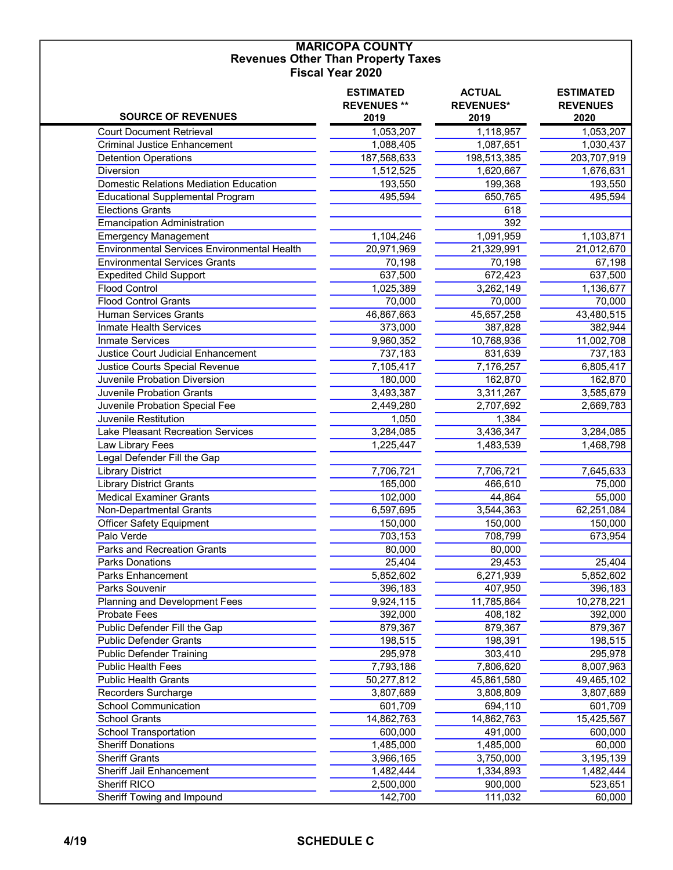#### MARICOPA COUNTY Revenues Other Than Property Taxes Fiscal Year 2020

| <b>SOURCE OF REVENUES</b>                        | <b>ESTIMATED</b><br><b>REVENUES **</b><br>2019 | <b>ACTUAL</b><br><b>REVENUES*</b><br>2019 | <b>ESTIMATED</b><br><b>REVENUES</b><br>2020 |
|--------------------------------------------------|------------------------------------------------|-------------------------------------------|---------------------------------------------|
| <b>Court Document Retrieval</b>                  | 1,053,207                                      | 1,118,957                                 | 1,053,207                                   |
| <b>Criminal Justice Enhancement</b>              | 1,088,405                                      | 1,087,651                                 | 1,030,437                                   |
| <b>Detention Operations</b>                      | 187,568,633                                    | 198,513,385                               | 203,707,919                                 |
| Diversion                                        | 1,512,525                                      | 1,620,667                                 | 1,676,631                                   |
| <b>Domestic Relations Mediation Education</b>    | 193,550                                        | 199,368                                   | 193,550                                     |
| <b>Educational Supplemental Program</b>          | 495,594                                        | 650,765                                   | 495,594                                     |
| <b>Elections Grants</b>                          |                                                | 618                                       |                                             |
| <b>Emancipation Administration</b>               |                                                | 392                                       |                                             |
| <b>Emergency Management</b>                      | 1,104,246                                      | 1,091,959                                 | 1,103,871                                   |
| Environmental Services Environmental Health      | 20,971,969                                     | 21,329,991                                | 21,012,670                                  |
| <b>Environmental Services Grants</b>             | 70,198                                         | 70,198                                    | 67,198                                      |
| <b>Expedited Child Support</b>                   | 637,500                                        | 672,423                                   | 637,500                                     |
| <b>Flood Control</b>                             | 1,025,389                                      | 3,262,149                                 | 1,136,677                                   |
| <b>Flood Control Grants</b>                      | 70,000                                         | 70,000                                    | 70,000                                      |
| <b>Human Services Grants</b>                     | 46,867,663                                     | 45,657,258                                | 43,480,515                                  |
| Inmate Health Services                           | 373,000                                        | 387,828                                   | 382,944                                     |
| Inmate Services                                  | 9,960,352                                      | 10,768,936                                | 11,002,708                                  |
| Justice Court Judicial Enhancement               | 737,183                                        | 831,639                                   | 737,183                                     |
| Justice Courts Special Revenue                   | 7,105,417                                      | 7,176,257                                 | 6,805,417                                   |
| Juvenile Probation Diversion                     | 180,000                                        | 162,870                                   | 162,870                                     |
| <b>Juvenile Probation Grants</b>                 | 3,493,387                                      | 3,311,267                                 | 3,585,679                                   |
| Juvenile Probation Special Fee                   | 2,449,280                                      | 2,707,692                                 | 2,669,783                                   |
| Juvenile Restitution                             | 1,050                                          | 1,384                                     |                                             |
| Lake Pleasant Recreation Services                | 3,284,085                                      | 3,436,347                                 | 3,284,085                                   |
| Law Library Fees                                 | 1,225,447                                      | 1,483,539                                 | 1,468,798                                   |
| Legal Defender Fill the Gap                      |                                                |                                           |                                             |
| <b>Library District</b>                          | 7,706,721                                      | 7,706,721                                 | 7,645,633                                   |
| <b>Library District Grants</b>                   | 165,000                                        | 466,610                                   | 75,000                                      |
| <b>Medical Examiner Grants</b>                   | 102,000                                        |                                           | 55,000                                      |
| Non-Departmental Grants                          |                                                | 44,864                                    |                                             |
|                                                  | 6,597,695                                      | 3,544,363                                 | 62,251,084                                  |
| <b>Officer Safety Equipment</b>                  | 150,000                                        | 150,000                                   | 150,000                                     |
| Palo Verde<br><b>Parks and Recreation Grants</b> | 703,153                                        | 708,799                                   | 673,954                                     |
|                                                  | 80,000                                         | 80,000                                    |                                             |
| <b>Parks Donations</b>                           | 25,404                                         | 29,453                                    | 25,404                                      |
| Parks Enhancement                                | 5,852,602                                      | 6,271,939                                 | 5,852,602                                   |
| Parks Souvenir                                   | 396,183                                        | 407,950                                   | 396,183                                     |
| Planning and Development Fees                    | 9,924,115                                      | 11,785,864                                | 10,278,221                                  |
| <b>Probate Fees</b>                              | 392,000                                        | 408,182                                   | 392,000                                     |
| Public Defender Fill the Gap                     | 879,367                                        | 879,367                                   | 879,367                                     |
| <b>Public Defender Grants</b>                    | 198,515                                        | 198,391                                   | 198,515                                     |
| <b>Public Defender Training</b>                  | 295,978                                        | 303,410                                   | 295,978                                     |
| Public Health Fees                               | 7,793,186                                      | 7,806,620                                 | 8,007,963                                   |
| <b>Public Health Grants</b>                      | 50,277,812                                     | 45,861,580                                | 49,465,102                                  |
| Recorders Surcharge                              | 3,807,689                                      | 3,808,809                                 | 3,807,689                                   |
| <b>School Communication</b>                      | 601,709                                        | 694,110                                   | 601,709                                     |
| <b>School Grants</b>                             | 14,862,763                                     | 14,862,763                                | 15,425,567                                  |
| School Transportation                            | 600,000                                        | 491,000                                   | 600,000                                     |
| <b>Sheriff Donations</b>                         | 1,485,000                                      | 1,485,000                                 | 60,000                                      |
| <b>Sheriff Grants</b>                            | 3,966,165                                      | 3,750,000                                 | 3,195,139                                   |
| Sheriff Jail Enhancement                         | 1,482,444                                      | 1,334,893                                 | 1,482,444                                   |
| Sheriff RICO                                     | 2,500,000                                      | 900,000                                   | 523,651                                     |
| Sheriff Towing and Impound                       | 142,700                                        | 111,032                                   | 60,000                                      |

#### 4/19 SCHEDULE C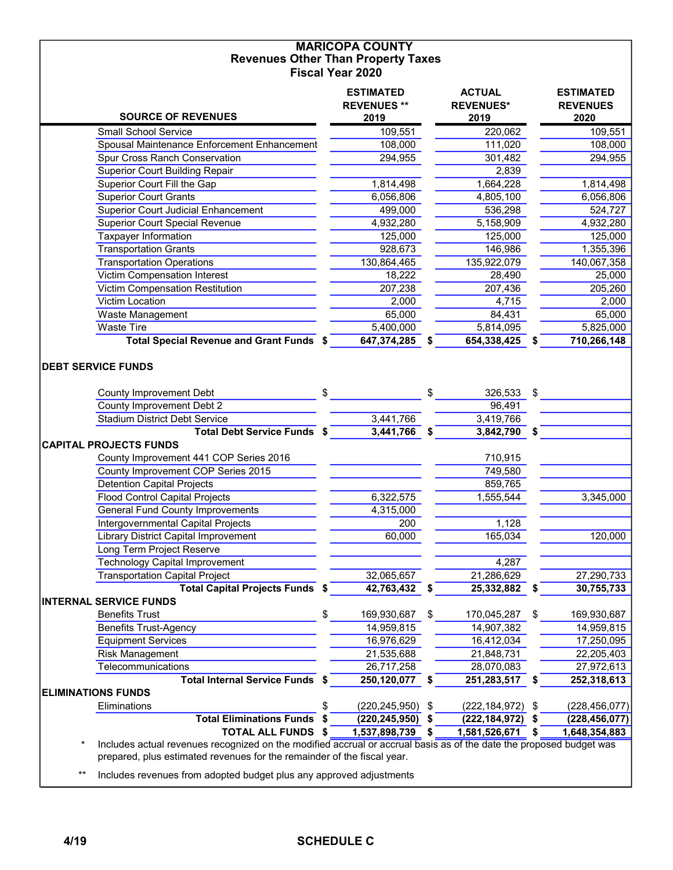#### MARICOPA COUNTY Revenues Other Than Property Taxes Fiscal Year 2020

| <b>SOURCE OF REVENUES</b>                                                                                                                                                                      | <b>ESTIMATED</b><br><b>REVENUES**</b><br>2019 |    | <b>ACTUAL</b><br><b>REVENUES*</b><br>2019 |     | <b>ESTIMATED</b><br><b>REVENUES</b><br>2020 |
|------------------------------------------------------------------------------------------------------------------------------------------------------------------------------------------------|-----------------------------------------------|----|-------------------------------------------|-----|---------------------------------------------|
|                                                                                                                                                                                                |                                               |    |                                           |     |                                             |
| <b>Small School Service</b>                                                                                                                                                                    | 109,551                                       |    | 220,062                                   |     | 109,551                                     |
| Spousal Maintenance Enforcement Enhancement<br>Spur Cross Ranch Conservation                                                                                                                   | 108,000                                       |    | 111,020                                   |     | 108,000                                     |
|                                                                                                                                                                                                | 294,955                                       |    | 301,482                                   |     | 294,955                                     |
| <b>Superior Court Building Repair</b>                                                                                                                                                          |                                               |    | 2,839                                     |     |                                             |
| Superior Court Fill the Gap                                                                                                                                                                    | 1,814,498                                     |    | 1,664,228                                 |     | 1,814,498                                   |
| <b>Superior Court Grants</b>                                                                                                                                                                   | 6,056,806                                     |    | 4,805,100                                 |     | 6,056,806                                   |
| <b>Superior Court Judicial Enhancement</b>                                                                                                                                                     | 499,000                                       |    | 536,298                                   |     | 524,727                                     |
| <b>Superior Court Special Revenue</b>                                                                                                                                                          | 4,932,280                                     |    | 5,158,909                                 |     | 4,932,280                                   |
| <b>Taxpayer Information</b>                                                                                                                                                                    | 125,000                                       |    | 125,000                                   |     | 125,000                                     |
| <b>Transportation Grants</b>                                                                                                                                                                   | 928,673                                       |    | 146,986                                   |     | 1,355,396                                   |
| <b>Transportation Operations</b>                                                                                                                                                               | 130,864,465                                   |    | 135,922,079                               |     | 140,067,358                                 |
| <b>Victim Compensation Interest</b>                                                                                                                                                            | 18,222                                        |    | 28,490                                    |     | 25,000                                      |
| Victim Compensation Restitution                                                                                                                                                                | 207,238                                       |    | 207,436                                   |     | 205,260                                     |
| Victim Location                                                                                                                                                                                | 2,000                                         |    | 4,715                                     |     | 2,000                                       |
| Waste Management                                                                                                                                                                               | 65,000                                        |    | 84,431                                    |     | 65,000                                      |
| <b>Waste Tire</b>                                                                                                                                                                              | 5,400,000                                     |    | 5,814,095                                 |     | 5,825,000                                   |
| Total Special Revenue and Grant Funds \$                                                                                                                                                       | 647,374,285                                   | \$ | 654,338,425                               |     | 710,266,148                                 |
| <b>County Improvement Debt</b><br>County Improvement Debt 2                                                                                                                                    | \$                                            | \$ | 326,533<br>96,491                         | \$  |                                             |
| <b>Stadium District Debt Service</b>                                                                                                                                                           | 3,441,766                                     |    | 3,419,766                                 |     |                                             |
| Total Debt Service Funds \$                                                                                                                                                                    | 3,441,766                                     | S  | 3,842,790                                 | S.  |                                             |
| <b>CAPITAL PROJECTS FUNDS</b>                                                                                                                                                                  |                                               |    |                                           |     |                                             |
| County Improvement 441 COP Series 2016                                                                                                                                                         |                                               |    | 710,915                                   |     |                                             |
| County Improvement COP Series 2015                                                                                                                                                             |                                               |    | 749,580                                   |     |                                             |
| <b>Detention Capital Projects</b>                                                                                                                                                              |                                               |    | 859,765                                   |     |                                             |
| <b>Flood Control Capital Projects</b>                                                                                                                                                          | 6,322,575                                     |    | 1,555,544                                 |     | 3,345,000                                   |
| <b>General Fund County Improvements</b>                                                                                                                                                        | 4,315,000                                     |    |                                           |     |                                             |
| Intergovernmental Capital Projects                                                                                                                                                             | 200                                           |    | 1,128                                     |     |                                             |
| Library District Capital Improvement                                                                                                                                                           | 60,000                                        |    | 165,034                                   |     | 120,000                                     |
| <b>Long Term Project Reserve</b>                                                                                                                                                               |                                               |    |                                           |     |                                             |
| <b>Technology Capital Improvement</b>                                                                                                                                                          |                                               |    | 4,287                                     |     |                                             |
| <b>Transportation Capital Project</b>                                                                                                                                                          | 32,065,657                                    |    | 21,286,629                                |     | 27,290,733                                  |
| <b>Total Capital Projects Funds \$</b>                                                                                                                                                         | 42,763,432                                    | \$ | 25,332,882                                | \$  | 30,755,733                                  |
| <b>INTERNAL SERVICE FUNDS</b>                                                                                                                                                                  |                                               |    |                                           |     |                                             |
| <b>Benefits Trust</b>                                                                                                                                                                          | \$<br>169,930,687                             | \$ | 170,045,287                               | \$  | 169,930,687                                 |
| <b>Benefits Trust-Agency</b>                                                                                                                                                                   | 14,959,815                                    |    | 14,907,382                                |     | 14,959,815                                  |
| <b>Equipment Services</b>                                                                                                                                                                      | 16,976,629                                    |    | 16,412,034                                |     | 17,250,095                                  |
| <b>Risk Management</b>                                                                                                                                                                         | 21,535,688                                    |    | 21,848,731                                |     | 22,205,403                                  |
| Telecommunications                                                                                                                                                                             | 26,717,258                                    |    | 28,070,083                                |     | 27,972,613                                  |
| Total Internal Service Funds \$                                                                                                                                                                | 250,120,077                                   | \$ | 251,283,517                               | - 5 | 252,318,613                                 |
| <b>ELIMINATIONS FUNDS</b>                                                                                                                                                                      |                                               |    |                                           |     |                                             |
| Eliminations                                                                                                                                                                                   | \$<br>$(220, 245, 950)$ \$                    |    | $(222, 184, 972)$ \$                      |     | (228, 456, 077)                             |
| <b>Total Eliminations Funds</b>                                                                                                                                                                | \$<br>(220, 245, 950)                         | \$ | (222, 184, 972)                           | \$  | (228, 456, 077)                             |
| <b>TOTAL ALL FUNDS \$</b>                                                                                                                                                                      | 1,537,898,739                                 | \$ | 1,581,526,671                             | S   | 1,648,354,883                               |
| Includes actual revenues recognized on the modified accrual or accrual basis as of the date the proposed budget was<br>prepared, plus estimated revenues for the remainder of the fiscal year. |                                               |    |                                           |     |                                             |

\*\* Includes revenues from adopted budget plus any approved adjustments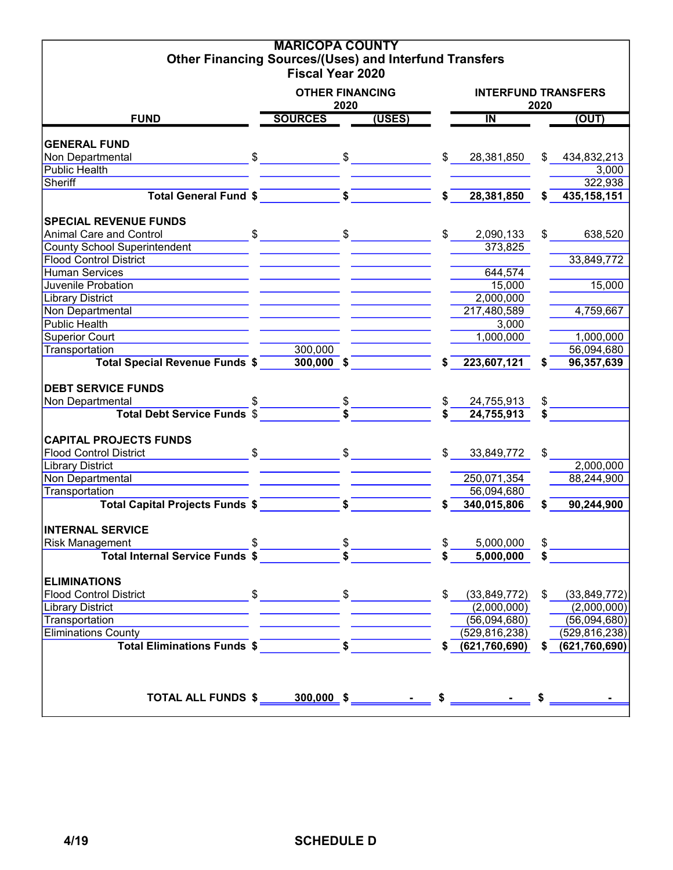| <b>Other Financing Sources/(Uses) and Interfund Transfers</b>                                                                                                                                                                  | <b>MARICOPA COUNTY</b>  |      |                                                                                                                                                                                                                                                                                                                                                                                                                                                                             |               |                            |      |                               |
|--------------------------------------------------------------------------------------------------------------------------------------------------------------------------------------------------------------------------------|-------------------------|------|-----------------------------------------------------------------------------------------------------------------------------------------------------------------------------------------------------------------------------------------------------------------------------------------------------------------------------------------------------------------------------------------------------------------------------------------------------------------------------|---------------|----------------------------|------|-------------------------------|
|                                                                                                                                                                                                                                | <b>Fiscal Year 2020</b> |      |                                                                                                                                                                                                                                                                                                                                                                                                                                                                             |               |                            |      |                               |
|                                                                                                                                                                                                                                | <b>OTHER FINANCING</b>  | 2020 |                                                                                                                                                                                                                                                                                                                                                                                                                                                                             |               | <b>INTERFUND TRANSFERS</b> | 2020 |                               |
| <b>FUND</b>                                                                                                                                                                                                                    | <b>SOURCES</b>          |      | (USES)                                                                                                                                                                                                                                                                                                                                                                                                                                                                      |               | $\overline{\mathsf{I\!N}}$ |      | (OUT)                         |
| <b>GENERAL FUND</b>                                                                                                                                                                                                            |                         |      |                                                                                                                                                                                                                                                                                                                                                                                                                                                                             |               |                            |      |                               |
| Non Departmental                                                                                                                                                                                                               | $\sim$ \$               |      |                                                                                                                                                                                                                                                                                                                                                                                                                                                                             | $\mathsf{\$}$ | 28,381,850                 |      | \$434,832,213                 |
| <b>Public Health</b>                                                                                                                                                                                                           |                         |      |                                                                                                                                                                                                                                                                                                                                                                                                                                                                             |               |                            |      | 3,000                         |
| Sheriff                                                                                                                                                                                                                        |                         |      |                                                                                                                                                                                                                                                                                                                                                                                                                                                                             |               |                            |      | 322,938                       |
| Total General Fund \$                                                                                                                                                                                                          |                         |      |                                                                                                                                                                                                                                                                                                                                                                                                                                                                             |               | 28,381,850<br>$\mathsf{s}$ | s.   | 435, 158, 151                 |
| <b>SPECIAL REVENUE FUNDS</b>                                                                                                                                                                                                   |                         |      |                                                                                                                                                                                                                                                                                                                                                                                                                                                                             |               |                            |      |                               |
| <b>Animal Care and Control</b>                                                                                                                                                                                                 |                         |      | $\overbrace{\text{S}}$ $\overbrace{\text{S}}$ $\overbrace{\text{S}}$ $\overbrace{\text{S}}$ $\overbrace{\text{S}}$ $\overbrace{\text{S}}$ $\overbrace{\text{S}}$ $\overbrace{\text{S}}$ $\overbrace{\text{S}}$ $\overbrace{\text{S}}$ $\overbrace{\text{S}}$ $\overbrace{\text{S}}$ $\overbrace{\text{S}}$ $\overbrace{\text{S}}$ $\overbrace{\text{S}}$ $\overbrace{\text{S}}$ $\overbrace{\text{S}}$ $\overbrace{\text{S}}$ $\overbrace{\text{S}}$ $\overbrace{\text{S}}$ |               | $\mathcal{S}$<br>2,090,133 |      | 638,520<br>$\frac{1}{2}$      |
| <b>County School Superintendent</b>                                                                                                                                                                                            |                         |      |                                                                                                                                                                                                                                                                                                                                                                                                                                                                             |               | 373,825                    |      |                               |
| <b>Flood Control District</b>                                                                                                                                                                                                  |                         |      |                                                                                                                                                                                                                                                                                                                                                                                                                                                                             |               |                            |      | 33,849,772                    |
| <b>Human Services</b>                                                                                                                                                                                                          |                         |      |                                                                                                                                                                                                                                                                                                                                                                                                                                                                             |               | 644,574                    |      |                               |
| Juvenile Probation                                                                                                                                                                                                             |                         |      |                                                                                                                                                                                                                                                                                                                                                                                                                                                                             |               | 15,000                     |      | 15,000                        |
| <b>Library District</b>                                                                                                                                                                                                        |                         |      |                                                                                                                                                                                                                                                                                                                                                                                                                                                                             |               | 2,000,000                  |      |                               |
| Non Departmental                                                                                                                                                                                                               |                         |      |                                                                                                                                                                                                                                                                                                                                                                                                                                                                             |               | 217,480,589                |      | 4,759,667                     |
| <b>Public Health</b>                                                                                                                                                                                                           |                         |      |                                                                                                                                                                                                                                                                                                                                                                                                                                                                             |               | 3,000                      |      |                               |
| <b>Superior Court</b>                                                                                                                                                                                                          |                         |      |                                                                                                                                                                                                                                                                                                                                                                                                                                                                             |               | 1,000,000                  |      | 1,000,000                     |
| Transportation                                                                                                                                                                                                                 | 300,000                 |      |                                                                                                                                                                                                                                                                                                                                                                                                                                                                             |               |                            |      | 56,094,680                    |
| <b>Total Special Revenue Funds \$</b>                                                                                                                                                                                          | $300,000$ \$            |      |                                                                                                                                                                                                                                                                                                                                                                                                                                                                             |               | 223,607,121                | S.   | 96,357,639                    |
|                                                                                                                                                                                                                                |                         |      |                                                                                                                                                                                                                                                                                                                                                                                                                                                                             |               |                            |      |                               |
| <b>DEBT SERVICE FUNDS</b>                                                                                                                                                                                                      |                         |      |                                                                                                                                                                                                                                                                                                                                                                                                                                                                             |               |                            |      |                               |
| Non Departmental                                                                                                                                                                                                               |                         |      |                                                                                                                                                                                                                                                                                                                                                                                                                                                                             |               | 24,755,913                 | \$   |                               |
|                                                                                                                                                                                                                                |                         |      |                                                                                                                                                                                                                                                                                                                                                                                                                                                                             |               | 24,755,913                 | \$   |                               |
| <b>CAPITAL PROJECTS FUNDS</b>                                                                                                                                                                                                  |                         |      |                                                                                                                                                                                                                                                                                                                                                                                                                                                                             |               |                            |      |                               |
| Flood Control District Control District Control Business Control District Control Control Control Control Control Control Control Control Control Control Control Control Control Control Control Control Control Control Cont |                         |      |                                                                                                                                                                                                                                                                                                                                                                                                                                                                             |               | \$33,849,772               | \$   |                               |
| <b>Library District</b>                                                                                                                                                                                                        |                         |      |                                                                                                                                                                                                                                                                                                                                                                                                                                                                             |               |                            |      | 2,000,000                     |
| Non Departmental                                                                                                                                                                                                               |                         |      |                                                                                                                                                                                                                                                                                                                                                                                                                                                                             |               | 250,071,354                |      | 88,244,900                    |
| Transportation                                                                                                                                                                                                                 |                         |      |                                                                                                                                                                                                                                                                                                                                                                                                                                                                             |               | 56,094,680                 |      |                               |
| Total Capital Projects Funds \$ 5                                                                                                                                                                                              |                         |      |                                                                                                                                                                                                                                                                                                                                                                                                                                                                             |               | 340,015,806                | \$   | 90,244,900                    |
| <b>INTERNAL SERVICE</b>                                                                                                                                                                                                        |                         |      |                                                                                                                                                                                                                                                                                                                                                                                                                                                                             |               |                            |      |                               |
| <b>Risk Management</b>                                                                                                                                                                                                         |                         |      |                                                                                                                                                                                                                                                                                                                                                                                                                                                                             |               | 5,000,000                  |      | $$\overbrace{\hspace{2.5cm}}$ |
|                                                                                                                                                                                                                                |                         |      |                                                                                                                                                                                                                                                                                                                                                                                                                                                                             |               | 5,000,000                  |      |                               |
|                                                                                                                                                                                                                                |                         |      |                                                                                                                                                                                                                                                                                                                                                                                                                                                                             |               |                            |      |                               |
| <b>ELIMINATIONS</b>                                                                                                                                                                                                            |                         |      |                                                                                                                                                                                                                                                                                                                                                                                                                                                                             |               |                            |      |                               |
| <b>Flood Control District</b>                                                                                                                                                                                                  |                         |      |                                                                                                                                                                                                                                                                                                                                                                                                                                                                             |               | \$ (33,849,772)            |      | \$ (33,849,772)               |
| <b>Library District</b>                                                                                                                                                                                                        |                         |      |                                                                                                                                                                                                                                                                                                                                                                                                                                                                             |               | (2,000,000)                |      | (2,000,000)                   |
| Transportation                                                                                                                                                                                                                 |                         |      |                                                                                                                                                                                                                                                                                                                                                                                                                                                                             |               | (56,094,680)               |      | (56,094,680)                  |
| <b>Eliminations County</b>                                                                                                                                                                                                     |                         |      |                                                                                                                                                                                                                                                                                                                                                                                                                                                                             |               | (529, 816, 238)            |      | (529, 816, 238)               |
| Total Eliminations Funds \$                                                                                                                                                                                                    |                         |      |                                                                                                                                                                                                                                                                                                                                                                                                                                                                             |               | \$ (621, 760, 690)         |      | \$ (621,760,690)              |
|                                                                                                                                                                                                                                |                         |      |                                                                                                                                                                                                                                                                                                                                                                                                                                                                             |               |                            |      |                               |
|                                                                                                                                                                                                                                |                         |      |                                                                                                                                                                                                                                                                                                                                                                                                                                                                             |               |                            |      |                               |
|                                                                                                                                                                                                                                |                         |      |                                                                                                                                                                                                                                                                                                                                                                                                                                                                             |               |                            |      |                               |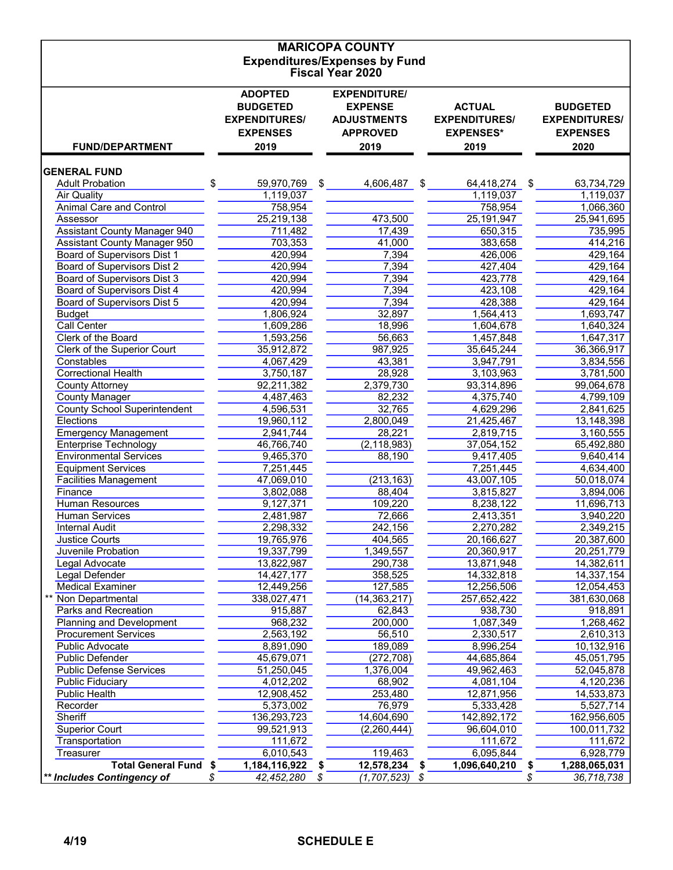| <b>MARICOPA COUNTY</b>                                          |    |                                         |    |                                       |    |                                          |    |                                         |  |  |  |  |  |
|-----------------------------------------------------------------|----|-----------------------------------------|----|---------------------------------------|----|------------------------------------------|----|-----------------------------------------|--|--|--|--|--|
| <b>Expenditures/Expenses by Fund</b><br><b>Fiscal Year 2020</b> |    |                                         |    |                                       |    |                                          |    |                                         |  |  |  |  |  |
|                                                                 |    |                                         |    |                                       |    |                                          |    |                                         |  |  |  |  |  |
|                                                                 |    | <b>ADOPTED</b>                          |    | <b>EXPENDITURE/</b>                   |    |                                          |    |                                         |  |  |  |  |  |
|                                                                 |    | <b>BUDGETED</b>                         |    | <b>EXPENSE</b>                        |    | <b>ACTUAL</b>                            |    | <b>BUDGETED</b>                         |  |  |  |  |  |
|                                                                 |    | <b>EXPENDITURES/</b><br><b>EXPENSES</b> |    | <b>ADJUSTMENTS</b><br><b>APPROVED</b> |    | <b>EXPENDITURES/</b><br><b>EXPENSES*</b> |    | <b>EXPENDITURES/</b><br><b>EXPENSES</b> |  |  |  |  |  |
| <b>FUND/DEPARTMENT</b>                                          |    | 2019                                    |    | 2019                                  |    | 2019                                     |    | 2020                                    |  |  |  |  |  |
|                                                                 |    |                                         |    |                                       |    |                                          |    |                                         |  |  |  |  |  |
| <b>GENERAL FUND</b>                                             |    |                                         |    |                                       |    |                                          |    |                                         |  |  |  |  |  |
| <b>Adult Probation</b>                                          | \$ | 59,970,769                              | \$ | 4,606,487                             | \$ | 64,418,274                               | \$ | 63,734,729                              |  |  |  |  |  |
| <b>Air Quality</b>                                              |    | 1,119,037                               |    |                                       |    | 1,119,037                                |    | 1,119,037                               |  |  |  |  |  |
| Animal Care and Control<br>Assessor                             |    | 758,954<br>25,219,138                   |    | 473,500                               |    | 758,954<br>25, 191, 947                  |    | 1,066,360<br>25,941,695                 |  |  |  |  |  |
| <b>Assistant County Manager 940</b>                             |    | 711,482                                 |    | 17,439                                |    | 650,315                                  |    | 735,995                                 |  |  |  |  |  |
| <b>Assistant County Manager 950</b>                             |    | 703,353                                 |    | 41,000                                |    | 383,658                                  |    | 414,216                                 |  |  |  |  |  |
| <b>Board of Supervisors Dist 1</b>                              |    | 420,994                                 |    | 7,394                                 |    | 426,006                                  |    | 429,164                                 |  |  |  |  |  |
| Board of Supervisors Dist 2                                     |    | 420,994                                 |    | 7,394                                 |    | 427,404                                  |    | 429,164                                 |  |  |  |  |  |
| <b>Board of Supervisors Dist 3</b>                              |    | 420,994                                 |    | 7,394                                 |    | 423,778                                  |    | 429,164                                 |  |  |  |  |  |
| <b>Board of Supervisors Dist 4</b>                              |    | 420,994                                 |    | 7,394                                 |    | 423,108                                  |    | 429,164                                 |  |  |  |  |  |
| <b>Board of Supervisors Dist 5</b>                              |    | 420,994                                 |    | 7,394                                 |    | 428,388                                  |    | 429,164                                 |  |  |  |  |  |
| <b>Budget</b>                                                   |    | 1,806,924                               |    | 32,897                                |    | 1,564,413                                |    | 1,693,747                               |  |  |  |  |  |
| Call Center<br>Clerk of the Board                               |    | 1,609,286<br>1,593,256                  |    | 18,996                                |    | 1,604,678                                |    | 1,640,324                               |  |  |  |  |  |
| Clerk of the Superior Court                                     |    | 35,912,872                              |    | 56,663<br>987,925                     |    | 1,457,848<br>35,645,244                  |    | 1,647,317<br>36,366,917                 |  |  |  |  |  |
| Constables                                                      |    | 4,067,429                               |    | 43,381                                |    | 3,947,791                                |    | 3,834,556                               |  |  |  |  |  |
| <b>Correctional Health</b>                                      |    | 3,750,187                               |    | 28,928                                |    | 3,103,963                                |    | 3,781,500                               |  |  |  |  |  |
| <b>County Attorney</b>                                          |    | 92,211,382                              |    | 2,379,730                             |    | 93,314,896                               |    | 99,064,678                              |  |  |  |  |  |
| <b>County Manager</b>                                           |    | 4,487,463                               |    | 82,232                                |    | 4,375,740                                |    | 4,799,109                               |  |  |  |  |  |
| <b>County School Superintendent</b>                             |    | 4,596,531                               |    | 32,765                                |    | 4,629,296                                |    | 2,841,625                               |  |  |  |  |  |
| <b>Elections</b>                                                |    | 19,960,112                              |    | 2,800,049                             |    | 21,425,467                               |    | 13,148,398                              |  |  |  |  |  |
| <b>Emergency Management</b>                                     |    | 2,941,744                               |    | 28,221                                |    | 2,819,715                                |    | 3,160,555                               |  |  |  |  |  |
| <b>Enterprise Technology</b>                                    |    | 46,766,740                              |    | (2, 118, 983)                         |    | 37,054,152                               |    | 65,492,880                              |  |  |  |  |  |
| <b>Environmental Services</b>                                   |    | 9,465,370                               |    | 88,190                                |    | 9,417,405                                |    | 9,640,414                               |  |  |  |  |  |
| <b>Equipment Services</b><br><b>Facilities Management</b>       |    | 7,251,445<br>47,069,010                 |    | (213, 163)                            |    | 7,251,445<br>43,007,105                  |    | 4,634,400<br>50,018,074                 |  |  |  |  |  |
| Finance                                                         |    | 3,802,088                               |    | 88,404                                |    | 3,815,827                                |    | 3,894,006                               |  |  |  |  |  |
| <b>Human Resources</b>                                          |    | 9,127,371                               |    | 109,220                               |    | 8,238,122                                |    | 11,696,713                              |  |  |  |  |  |
| <b>Human Services</b>                                           |    | 2,481,987                               |    | 72,666                                |    | 2,413,351                                |    | 3,940,220                               |  |  |  |  |  |
| <b>Internal Audit</b>                                           |    | 2,298,332                               |    | 242,156                               |    | 2,270,282                                |    | 2,349,215                               |  |  |  |  |  |
| <b>Justice Courts</b>                                           |    | 19,765,976                              |    | 404,565                               |    | 20,166,627                               |    | 20,387,600                              |  |  |  |  |  |
| Juvenile Probation                                              |    | 19,337,799                              |    | 1,349,557                             |    | 20,360,917                               |    | 20,251,779                              |  |  |  |  |  |
| Legal Advocate                                                  |    | 13,822,987                              |    | 290,738                               |    | 13,871,948                               |    | 14,382,611                              |  |  |  |  |  |
| Legal Defender                                                  |    | 14,427,177                              |    | 358,525                               |    | 14,332,818                               |    | 14,337,154                              |  |  |  |  |  |
| <b>Medical Examiner</b>                                         |    | 12,449,256                              |    | 127,585                               |    | 12,256,506                               |    | 12,054,453                              |  |  |  |  |  |
| Non Departmental<br>Parks and Recreation                        |    | 338,027,471<br>915,887                  |    | (14,363,217)<br>62,843                |    | 257,652,422<br>938,730                   |    | 381,630,068<br>918,891                  |  |  |  |  |  |
| Planning and Development                                        |    | 968,232                                 |    | 200,000                               |    | 1,087,349                                |    | 1,268,462                               |  |  |  |  |  |
| <b>Procurement Services</b>                                     |    | 2,563,192                               |    | 56,510                                |    | 2,330,517                                |    | 2,610,313                               |  |  |  |  |  |
| <b>Public Advocate</b>                                          |    | 8,891,090                               |    | 189,089                               |    | 8,996,254                                |    | 10,132,916                              |  |  |  |  |  |
| <b>Public Defender</b>                                          |    | 45,679,071                              |    | (272, 708)                            |    | 44,685,864                               |    | 45,051,795                              |  |  |  |  |  |
| <b>Public Defense Services</b>                                  |    | 51,250,045                              |    | 1,376,004                             |    | 49,962,463                               |    | 52,045,878                              |  |  |  |  |  |
| <b>Public Fiduciary</b>                                         |    | 4,012,202                               |    | 68,902                                |    | 4,081,104                                |    | 4,120,236                               |  |  |  |  |  |
| Public Health                                                   |    | 12,908,452                              |    | 253,480                               |    | 12,871,956                               |    | 14,533,873                              |  |  |  |  |  |
| Recorder                                                        |    | 5,373,002                               |    | 76,979                                |    | 5,333,428                                |    | 5,527,714                               |  |  |  |  |  |
| <b>Sheriff</b>                                                  |    | 136,293,723                             |    | 14,604,690                            |    | 142,892,172                              |    | 162,956,605                             |  |  |  |  |  |
| <b>Superior Court</b>                                           |    | 99,521,913                              |    | (2,260,444)                           |    | 96,604,010                               |    | 100,011,732                             |  |  |  |  |  |
| Transportation<br>Treasurer                                     |    | 111,672<br>6,010,543                    |    | 119,463                               |    | 111,672<br>6,095,844                     |    | 111,672<br>6,928,779                    |  |  |  |  |  |
| Total General Fund \$                                           |    | 1,184,116,922                           | \$ | 12,578,234                            | \$ | 1,096,640,210                            | \$ | 1,288,065,031                           |  |  |  |  |  |
| ** Includes Contingency of                                      | \$ | 42,452,280                              | \$ | (1,707,523)                           | \$ |                                          | \$ | 36,718,738                              |  |  |  |  |  |

### 4/19 SCHEDULE E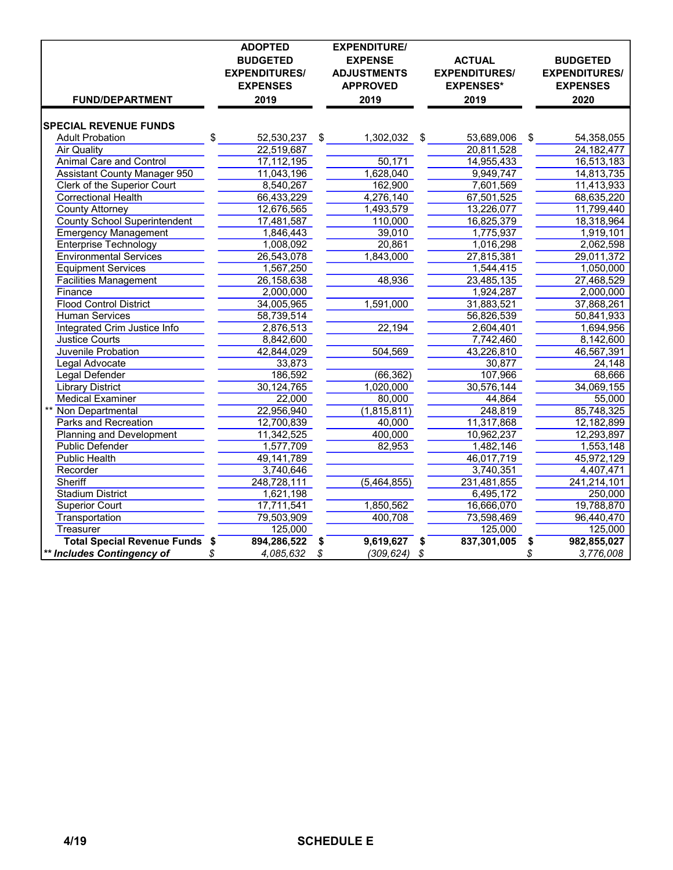|                                       |    | <b>ADOPTED</b><br><b>BUDGETED</b> | <b>EXPENDITURE/</b><br><b>EXPENSE</b> | <b>ACTUAL</b>        | <b>BUDGETED</b>      |
|---------------------------------------|----|-----------------------------------|---------------------------------------|----------------------|----------------------|
|                                       |    | <b>EXPENDITURES/</b>              | <b>ADJUSTMENTS</b>                    | <b>EXPENDITURES/</b> | <b>EXPENDITURES/</b> |
|                                       |    | <b>EXPENSES</b>                   | <b>APPROVED</b>                       | <b>EXPENSES*</b>     | <b>EXPENSES</b>      |
| <b>FUND/DEPARTMENT</b>                |    | 2019                              | 2019                                  | 2019                 | 2020                 |
| <b>SPECIAL REVENUE FUNDS</b>          |    |                                   |                                       |                      |                      |
| <b>Adult Probation</b>                | \$ | 52,530,237                        | \$<br>1,302,032                       | \$<br>53,689,006     | \$<br>54,358,055     |
| <b>Air Quality</b>                    |    | 22,519,687                        |                                       | 20,811,528           | 24, 182, 477         |
| <b>Animal Care and Control</b>        |    | 17,112,195                        | 50,171                                | 14,955,433           | 16,513,183           |
| <b>Assistant County Manager 950</b>   |    | 11,043,196                        | 1,628,040                             | 9,949,747            | 14,813,735           |
| Clerk of the Superior Court           |    | 8,540,267                         | 162,900                               | 7,601,569            | 11,413,933           |
| <b>Correctional Health</b>            |    | 66,433,229                        | 4,276,140                             | 67,501,525           | 68,635,220           |
| <b>County Attorney</b>                |    | 12,676,565                        | 1,493,579                             | 13,226,077           | 11,799,440           |
| <b>County School Superintendent</b>   |    | 17,481,587                        | 110,000                               | 16,825,379           | 18,318,964           |
| <b>Emergency Management</b>           |    | 1,846,443                         | 39,010                                | 1,775,937            | 1,919,101            |
| Enterprise Technology                 |    | 1,008,092                         | 20,861                                | 1,016,298            | 2,062,598            |
| <b>Environmental Services</b>         |    | 26,543,078                        | 1,843,000                             | 27,815,381           | 29,011,372           |
| <b>Equipment Services</b>             |    | 1,567,250                         |                                       | 1,544,415            | 1,050,000            |
| <b>Facilities Management</b>          |    | 26,158,638                        | 48,936                                | 23,485,135           | 27,468,529           |
| Finance                               |    | 2,000,000                         |                                       | 1,924,287            | 2,000,000            |
| <b>Flood Control District</b>         |    | 34,005,965                        | 1,591,000                             | 31,883,521           | 37,868,261           |
| <b>Human Services</b>                 |    | 58,739,514                        |                                       | 56,826,539           | 50,841,933           |
| Integrated Crim Justice Info          |    | 2,876,513                         | 22,194                                | 2,604,401            | 1,694,956            |
| <b>Justice Courts</b>                 |    | 8,842,600                         |                                       | 7,742,460            | 8,142,600            |
| Juvenile Probation                    |    | 42,844,029                        | 504,569                               | 43,226,810           | 46,567,391           |
| Legal Advocate                        |    | 33,873                            |                                       | 30,877               | 24,148               |
| <b>Legal Defender</b>                 |    | 186,592                           | (66, 362)                             | 107,966              | 68,666               |
| <b>Library District</b>               |    | 30,124,765                        | 1,020,000                             | 30,576,144           | 34,069,155           |
| <b>Medical Examiner</b>               |    | 22,000                            | 80,000                                | 44,864               | 55,000               |
| Non Departmental                      |    | 22,956,940                        | (1,815,811)                           | 248,819              | 85,748,325           |
| Parks and Recreation                  |    | 12,700,839                        | 40,000                                | 11,317,868           | 12,182,899           |
| <b>Planning and Development</b>       |    | 11,342,525                        | 400,000                               | 10,962,237           | 12,293,897           |
| <b>Public Defender</b>                |    | 1,577,709                         | 82,953                                | 1,482,146            | 1,553,148            |
| <b>Public Health</b>                  |    | 49,141,789                        |                                       | 46,017,719           | 45,972,129           |
| Recorder                              |    | 3,740,646                         |                                       | 3,740,351            | 4,407,471            |
| Sheriff                               |    | 248,728,111                       | (5,464,855)                           | 231,481,855          | 241,214,101          |
| <b>Stadium District</b>               |    | 1,621,198                         |                                       | 6,495,172            | 250,000              |
| <b>Superior Court</b>                 |    | 17,711,541                        | 1,850,562                             | 16,666,070           | 19,788,870           |
| Transportation                        |    | 79,503,909                        | 400,708                               | 73,598,469           | 96,440,470           |
| Treasurer                             |    | 125,000                           |                                       | 125,000              | 125,000              |
| <b>Total Special Revenue Funds \$</b> |    | 894,286,522                       | \$<br>9,619,627                       | \$<br>837,301,005    | \$<br>982,855,027    |
| ** Includes Contingency of            | \$ | 4,085,632                         | \$<br>$(309, 624)$ \$                 |                      | \$<br>3,776,008      |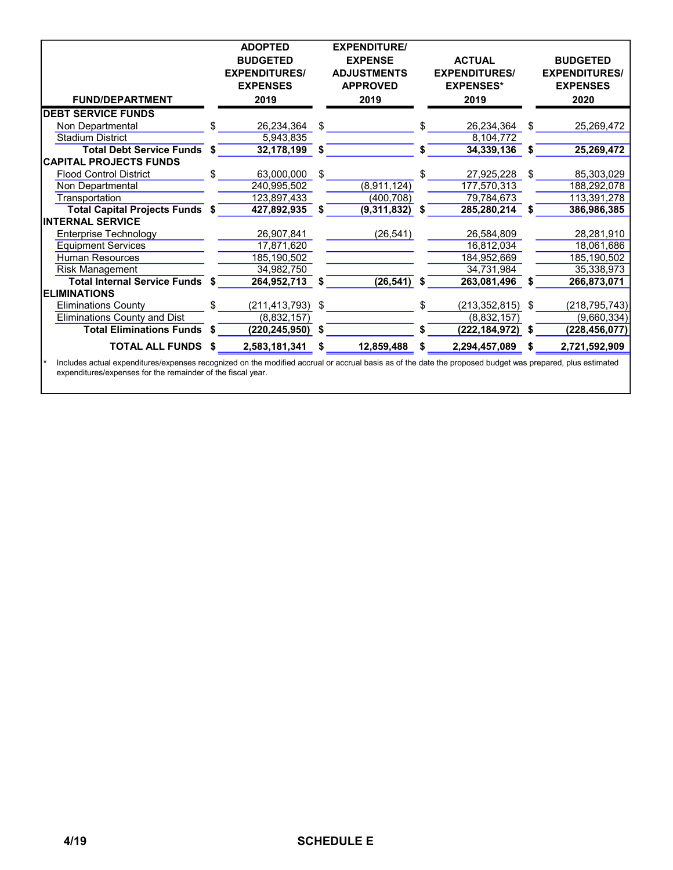|                                     |    | <b>ADOPTED</b><br><b>BUDGETED</b><br><b>EXPENDITURES/</b> |    | <b>EXPENDITURE/</b><br><b>EXPENSE</b><br><b>ADJUSTMENTS</b> |     | <b>ACTUAL</b><br><b>EXPENDITURES/</b> |    | <b>BUDGETED</b><br><b>EXPENDITURES/</b> |
|-------------------------------------|----|-----------------------------------------------------------|----|-------------------------------------------------------------|-----|---------------------------------------|----|-----------------------------------------|
|                                     |    | <b>EXPENSES</b>                                           |    | <b>APPROVED</b>                                             |     | <b>EXPENSES*</b>                      |    | <b>EXPENSES</b>                         |
| <b>FUND/DEPARTMENT</b>              |    | 2019                                                      |    | 2019                                                        |     | 2019                                  |    | 2020                                    |
| <b>DEBT SERVICE FUNDS</b>           |    |                                                           |    |                                                             |     |                                       |    |                                         |
| Non Departmental                    | £. | 26,234,364                                                | \$ |                                                             | \$. | 26,234,364                            | \$ | 25,269,472                              |
| <b>Stadium District</b>             |    | 5,943,835                                                 |    |                                                             |     | 8,104,772                             |    |                                         |
| <b>Total Debt Service Funds</b>     | S  | 32,178,199                                                | S  |                                                             | S   | 34,339,136                            | S  | 25,269,472                              |
| <b>CAPITAL PROJECTS FUNDS</b>       |    |                                                           |    |                                                             |     |                                       |    |                                         |
| <b>Flood Control District</b>       |    | 63,000,000                                                | \$ |                                                             |     | 27,925,228                            | \$ | 85,303,029                              |
| Non Departmental                    |    | 240,995,502                                               |    | (8,911,124)                                                 |     | 177,570,313                           |    | 188,292,078                             |
| Transportation                      |    | 123,897,433                                               |    | (400, 708)                                                  |     | 79,784,673                            |    | 113,391,278                             |
| Total Capital Projects Funds \$     |    | 427,892,935                                               | S  | (9,311,832)                                                 | S   | 285,280,214                           | S  | 386,986,385                             |
| <b>INTERNAL SERVICE</b>             |    |                                                           |    |                                                             |     |                                       |    |                                         |
| Enterprise Technology               |    | 26,907,841                                                |    | (26, 541)                                                   |     | 26,584,809                            |    | 28,281,910                              |
| <b>Equipment Services</b>           |    | 17,871,620                                                |    |                                                             |     | 16,812,034                            |    | 18,061,686                              |
| <b>Human Resources</b>              |    | 185,190,502                                               |    |                                                             |     | 184,952,669                           |    | 185,190,502                             |
| <b>Risk Management</b>              |    | 34,982,750                                                |    |                                                             |     | 34,731,984                            |    | 35,338,973                              |
| Total Internal Service Funds \$     |    | 264,952,713                                               | S  | $(26, 541)$ \$                                              |     | 263,081,496                           | S  | 266,873,071                             |
| <b>ELIMINATIONS</b>                 |    |                                                           |    |                                                             |     |                                       |    |                                         |
| <b>Eliminations County</b>          | £. | (211,413,793)                                             | \$ |                                                             | \$. | $(213, 352, 815)$ \$                  |    | (218, 795, 743)                         |
| <b>Eliminations County and Dist</b> |    | (8,832,157)                                               |    |                                                             |     | (8,832,157)                           |    | (9,660,334)                             |
| <b>Total Eliminations Funds</b>     |    | (220,245,950)                                             | S  |                                                             |     | (222, 184, 972)                       | S  | (228,456,077)                           |
| <b>TOTAL ALL FUNDS</b>              |    | 2,583,181,341                                             | S  | 12,859,488                                                  | S   | 2,294,457,089                         | S  | 2,721,592,909                           |

\* Includes actual expenditures/expenses recognized on the modified accrual or accrual basis as of the date the proposed budget was prepared, plus estimated expenditures/expenses for the remainder of the fiscal year.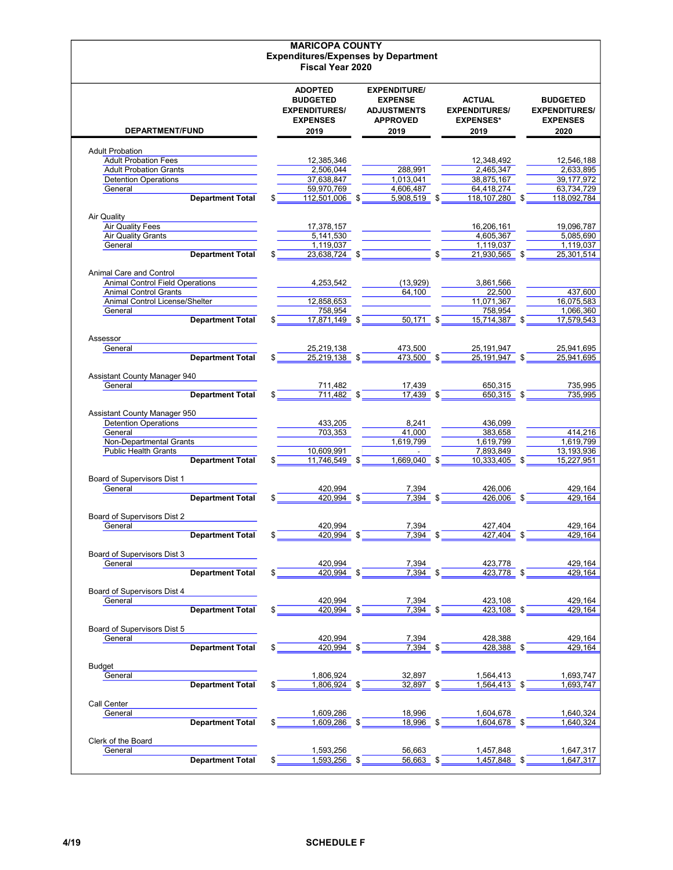|                                        |     | <b>MARICOPA COUNTY</b>            |                                            |                      |     |                      |
|----------------------------------------|-----|-----------------------------------|--------------------------------------------|----------------------|-----|----------------------|
|                                        |     |                                   | <b>Expenditures/Expenses by Department</b> |                      |     |                      |
|                                        |     | <b>Fiscal Year 2020</b>           |                                            |                      |     |                      |
|                                        |     |                                   |                                            |                      |     |                      |
|                                        |     |                                   |                                            |                      |     |                      |
|                                        |     | <b>ADOPTED</b><br><b>BUDGETED</b> | <b>EXPENDITURE/</b>                        |                      |     |                      |
|                                        |     |                                   | <b>EXPENSE</b>                             | <b>ACTUAL</b>        |     | <b>BUDGETED</b>      |
|                                        |     | <b>EXPENDITURES/</b>              | <b>ADJUSTMENTS</b>                         | <b>EXPENDITURES/</b> |     | <b>EXPENDITURES/</b> |
|                                        |     | <b>EXPENSES</b>                   | <b>APPROVED</b>                            | <b>EXPENSES*</b>     |     | <b>EXPENSES</b>      |
| DEPARTMENT/FUND                        |     | 2019                              | 2019                                       | 2019                 |     | 2020                 |
|                                        |     |                                   |                                            |                      |     |                      |
| <b>Adult Probation</b>                 |     |                                   |                                            |                      |     |                      |
| <b>Adult Probation Fees</b>            |     | 12,385,346                        |                                            | 12,348,492           |     | 12,546,188           |
| <b>Adult Probation Grants</b>          |     | 2,506,044                         | 288.991                                    | 2,465,347            |     | 2,633,895            |
| <b>Detention Operations</b>            |     | 37,638,847                        | 1,013,041                                  | 38,875,167           |     | 39.177.972           |
| General                                |     | 59,970,769                        | 4,606,487                                  | 64,418,274           |     | 63,734,729           |
| <b>Department Total</b>                |     | 112,501,006 \$                    | $5.908.519$ \$                             | 118,107,280 \$       |     | 118,092,784          |
| Air Quality                            |     |                                   |                                            |                      |     |                      |
| <b>Air Quality Fees</b>                |     | 17,378,157                        |                                            | 16,206,161           |     | 19,096,787           |
| <b>Air Quality Grants</b>              |     | 5,141,530                         |                                            | 4,605,367            |     | 5,085,690            |
|                                        |     | 1,119,037                         |                                            | 1,119,037            |     |                      |
| General<br><b>Department Total</b>     |     |                                   |                                            | \$                   |     | 1,119,037            |
|                                        | \$  | 23,638,724 \$                     |                                            | 21,930,565 \$        |     | 25,301,514           |
| Animal Care and Control                |     |                                   |                                            |                      |     |                      |
| <b>Animal Control Field Operations</b> |     | 4,253,542                         | (13,929)                                   | 3,861,566            |     |                      |
| <b>Animal Control Grants</b>           |     |                                   | 64,100                                     | 22,500               |     | 437,600              |
| Animal Control License/Shelter         |     | 12,858,653                        |                                            | 11,071,367           |     | 16,075,583           |
| General                                |     | 758,954                           |                                            | 758,954              |     | 1.066.360            |
| <b>Department Total</b>                |     | 17,871,149 \$                     | $50,171$ \$                                | 15,714,387 \$        |     | 17,579,543           |
|                                        |     |                                   |                                            |                      |     |                      |
| Assessor                               |     |                                   |                                            |                      |     |                      |
| General                                |     | 25,219,138                        | 473,500                                    | 25,191,947           |     | 25,941,695           |
| <b>Department Total</b>                |     | $25,219,138$ \$                   | 473,500 \$                                 | 25.191.947 \$        |     | 25.941.695           |
|                                        |     |                                   |                                            |                      |     |                      |
| Assistant County Manager 940           |     |                                   |                                            |                      |     |                      |
| General                                |     | 711,482                           | 17,439                                     | 650,315              |     | 735,995              |
| <b>Department Total</b>                | \$  | $711,482$ \$                      | 17,439 \$                                  | 650,315 \$           |     | 735,995              |
|                                        |     |                                   |                                            |                      |     |                      |
| Assistant County Manager 950           |     |                                   |                                            |                      |     |                      |
| <b>Detention Operations</b>            |     | 433,205                           | 8,241                                      | 436,099              |     |                      |
| General                                |     | 703,353                           | 41,000                                     | 383,658              |     | 414,216              |
| Non-Departmental Grants                |     |                                   | 1,619,799                                  | 1,619,799            |     | 1,619,799            |
| <b>Public Health Grants</b>            |     | 10,609,991                        |                                            | 7,893,849            |     | 13,193,936           |
| <b>Department Total</b>                | \$  | 11,746,549 \$                     | 1,669,040 \$                               | 10,333,405           | -\$ | 15,227,951           |
|                                        |     |                                   |                                            |                      |     |                      |
| Board of Supervisors Dist 1            |     |                                   |                                            |                      |     |                      |
| General                                |     | 420,994<br>420.994                | \$<br>7,394<br>7.394                       | 426,006<br>426.006   |     | 429,164              |
| <b>Department Total</b>                |     |                                   |                                            |                      | \$  | 429,164              |
| Board of Supervisors Dist 2            |     |                                   |                                            |                      |     |                      |
| General                                |     | 420,994                           | 7,394                                      | 427,404              |     | 429,164              |
| <b>Department Total</b>                | \$  | 420,994                           | \$<br>7,394                                | \$<br>427,404        | \$  | 429,164              |
|                                        |     |                                   |                                            |                      |     |                      |
| Board of Supervisors Dist 3            |     |                                   |                                            |                      |     |                      |
| General                                |     | 420,994                           | 7,394                                      | 423,778              |     | 429,164              |
| <b>Department Total</b>                | \$  | $420,994$ \$                      | $7,394$ \$                                 | 423,778 \$           |     | 429,164              |
|                                        |     |                                   |                                            |                      |     |                      |
| Board of Supervisors Dist 4            |     |                                   |                                            |                      |     |                      |
| General                                |     | 420,994                           | 7,394                                      | 423,108              |     | 429,164              |
| <b>Department Total</b>                | \$  | $420,994$ \$                      | $7,394$ \$                                 | $423,108$ \$         |     | 429,164              |
|                                        |     |                                   |                                            |                      |     |                      |
| Board of Supervisors Dist 5            |     |                                   |                                            |                      |     |                      |
| General                                |     | 420,994                           | 7,394                                      | 428,388              |     | 429,164              |
| <b>Department Total</b>                |     | 420,994                           | $7,394$ \$                                 | 428,388 \$           |     | 429,164              |
|                                        |     |                                   |                                            |                      |     |                      |
| Budget<br>General                      |     | 1,806,924                         | 32,897                                     | 1,564,413            |     | 1,693,747            |
| <b>Department Total</b>                | \$. | $1,806,924$ \$                    | 32,897 \$                                  | $1,564,413$ \$       |     | 1,693,747            |
|                                        |     |                                   |                                            |                      |     |                      |
| Call Center                            |     |                                   |                                            |                      |     |                      |
| General                                |     | 1,609,286                         | 18,996                                     | 1,604,678            |     | 1,640,324            |
| <b>Department Total</b>                | \$  | $1,609,286$ \$                    | $18,996$ \$                                | 1,604,678 \$         |     | 1,640,324            |
|                                        |     |                                   |                                            |                      |     |                      |
| Clerk of the Board                     |     |                                   |                                            |                      |     |                      |
| General                                |     | 1,593,256                         | 56,663                                     | 1,457,848            |     | 1,647,317            |
| <b>Department Total</b>                | \$  | 1,593,256 \$                      | $56,663$ \$                                | 1,457,848 \$         |     | 1,647,317            |
|                                        |     |                                   |                                            |                      |     |                      |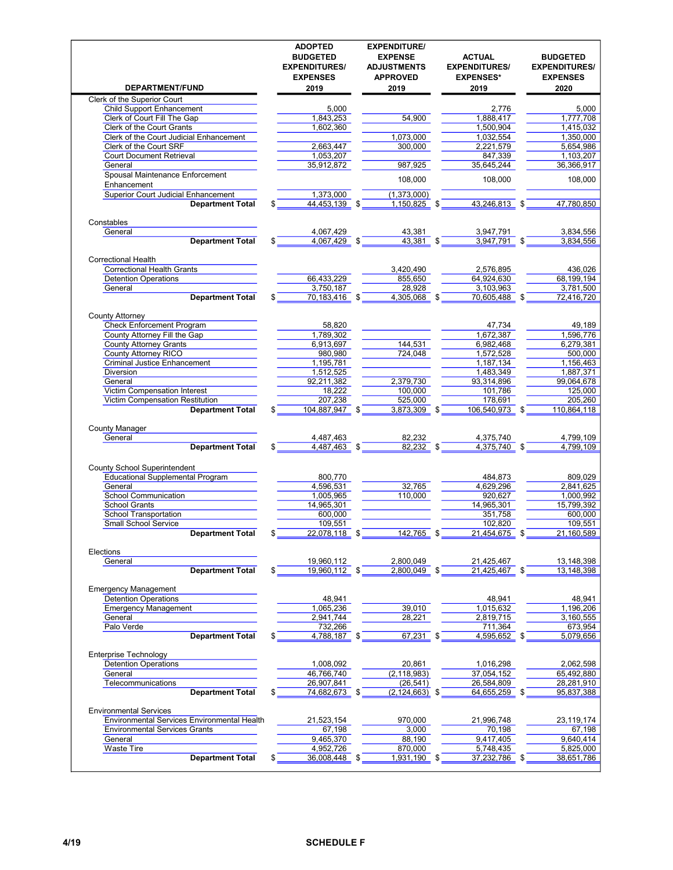| <b>DEPARTMENT/FUND</b>                                                              | <b>ADOPTED</b><br><b>BUDGETED</b><br><b>EXPENDITURES/</b><br><b>EXPENSES</b><br>2019 |     | <b>EXPENDITURE/</b><br><b>EXPENSE</b><br><b>ADJUSTMENTS</b><br><b>APPROVED</b><br>2019 |      | <b>ACTUAL</b><br><b>EXPENDITURES/</b><br><b>EXPENSES*</b><br>2019 |      | <b>BUDGETED</b><br><b>EXPENDITURES/</b><br><b>EXPENSES</b><br>2020 |
|-------------------------------------------------------------------------------------|--------------------------------------------------------------------------------------|-----|----------------------------------------------------------------------------------------|------|-------------------------------------------------------------------|------|--------------------------------------------------------------------|
| Clerk of the Superior Court                                                         |                                                                                      |     |                                                                                        |      |                                                                   |      |                                                                    |
| <b>Child Support Enhancement</b>                                                    | 5,000                                                                                |     |                                                                                        |      | 2,776                                                             |      | 5,000                                                              |
| Clerk of Court Fill The Gap                                                         | 1,843,253                                                                            |     | 54,900                                                                                 |      | 1.888.417                                                         |      | 1,777,708                                                          |
| Clerk of the Court Grants                                                           | 1,602,360                                                                            |     |                                                                                        |      | 1,500,904                                                         |      | 1,415,032                                                          |
| Clerk of the Court Judicial Enhancement                                             |                                                                                      |     | 1,073,000                                                                              |      | 1,032,554                                                         |      | 1,350,000                                                          |
| Clerk of the Court SRF                                                              | 2,663,447                                                                            |     | 300,000                                                                                |      | 2,221,579                                                         |      | 5,654,986                                                          |
| <b>Court Document Retrieval</b>                                                     | 1,053,207                                                                            |     |                                                                                        |      | 847.339                                                           |      | 1,103,207                                                          |
| General                                                                             | 35,912,872                                                                           |     | 987,925                                                                                |      | 35,645,244                                                        |      | 36,366,917                                                         |
| Spousal Maintenance Enforcement<br>Enhancement                                      |                                                                                      |     | 108,000                                                                                |      | 108,000                                                           |      | 108,000                                                            |
| <b>Superior Court Judicial Enhancement</b><br><b>Department Total</b>               | 1,373,000<br>44,453,139 \$<br>\$                                                     |     | (1,373,000)<br>1,150,825                                                               | \$   | 43,246,813                                                        | -\$  | 47,780,850                                                         |
| Constables                                                                          |                                                                                      |     |                                                                                        |      |                                                                   |      |                                                                    |
| General                                                                             | 4,067,429                                                                            |     | 43,381                                                                                 |      | 3,947,791                                                         |      | 3,834,556                                                          |
| <b>Department Total</b>                                                             | 4,067,429                                                                            | \$  | 43,381 \$                                                                              |      | 3,947,791                                                         | \$   | 3,834,556                                                          |
| <b>Correctional Health</b>                                                          |                                                                                      |     |                                                                                        |      |                                                                   |      |                                                                    |
| <b>Correctional Health Grants</b>                                                   |                                                                                      |     | 3,420,490                                                                              |      | 2,576,895                                                         |      | 436,026                                                            |
| <b>Detention Operations</b>                                                         | 66,433,229                                                                           |     | 855,650                                                                                |      | 64,924,630                                                        |      | 68,199,194<br>3,781,500                                            |
| General<br><b>Department Total</b>                                                  | 3,750,187<br>70,183,416 \$<br>\$                                                     |     | 28,928<br>4,305,068                                                                    | - \$ | 3,103,963<br>70.605.488                                           |      | 72,416,720                                                         |
|                                                                                     |                                                                                      |     |                                                                                        |      |                                                                   | - \$ |                                                                    |
| <b>County Attorney</b>                                                              |                                                                                      |     |                                                                                        |      |                                                                   |      |                                                                    |
| <b>Check Enforcement Program</b><br>County Attorney Fill the Gap                    | 58,820<br>1,789,302                                                                  |     |                                                                                        |      | 47,734<br>1,672,387                                               |      | 49,189<br>1.596.776                                                |
| County Attorney Grants                                                              | 6,913,697                                                                            |     | 144,531                                                                                |      | 6,982,468                                                         |      | 6,279,381                                                          |
| County Attorney RICO                                                                | 980,980                                                                              |     | 724,048                                                                                |      | 1,572,528                                                         |      | 500,000                                                            |
| <b>Criminal Justice Enhancement</b>                                                 | 1,195,781                                                                            |     |                                                                                        |      | 1,187,134                                                         |      | 1,156,463                                                          |
| Diversion                                                                           | 1,512,525                                                                            |     |                                                                                        |      | 1,483,349                                                         |      | 1,887,371                                                          |
| General                                                                             | 92,211,382                                                                           |     | 2,379,730                                                                              |      | 93,314,896                                                        |      | 99,064,678                                                         |
| Victim Compensation Interest                                                        | 18,222                                                                               |     | 100,000                                                                                |      | 101,786                                                           |      | 125,000                                                            |
| Victim Compensation Restitution                                                     | 207,238                                                                              |     | 525,000                                                                                |      | 178,691                                                           |      | 205,260                                                            |
| <b>Department Total</b>                                                             | \$<br>104,887,947                                                                    | -\$ | 3,873,309                                                                              | -\$  | 106,540,973                                                       |      | 110,864,118                                                        |
| <b>County Manager</b>                                                               |                                                                                      |     |                                                                                        |      |                                                                   |      |                                                                    |
| General                                                                             | 4,487,463                                                                            |     | 82,232                                                                                 |      | 4,375,740                                                         |      | 4,799,109                                                          |
| <b>Department Total</b>                                                             | 4,487,463 \$<br>\$                                                                   |     | 82,232 \$                                                                              |      | 4,375,740 \$                                                      |      | 4,799,109                                                          |
| <b>County School Superintendent</b>                                                 |                                                                                      |     |                                                                                        |      |                                                                   |      |                                                                    |
| <b>Educational Supplemental Program</b>                                             | 800,770                                                                              |     |                                                                                        |      | 484,873                                                           |      | 809,029                                                            |
| General                                                                             | 4,596,531                                                                            |     | 32,765                                                                                 |      | 4,629,296                                                         |      | 2,841,625                                                          |
| <b>School Communication</b><br><b>School Grants</b>                                 | 1,005,965<br>14,965,301                                                              |     | 110,000                                                                                |      | 920,627<br>14,965,301                                             |      | 1,000,992<br>15.799.392                                            |
| <b>School Transportation</b>                                                        | 600,000                                                                              |     |                                                                                        |      | 351,758                                                           |      | 600,000                                                            |
| <b>Small School Service</b>                                                         | 109,551                                                                              |     |                                                                                        |      | 102,820                                                           |      | 109,551                                                            |
| <b>Department Total</b>                                                             | 22,078,118                                                                           |     | 142,765                                                                                |      | 21,454,675                                                        |      | 21,160,589                                                         |
| Elections                                                                           |                                                                                      |     |                                                                                        |      |                                                                   |      |                                                                    |
| General                                                                             | 19,960,112                                                                           |     | 2,800,049                                                                              |      | 21,425,467                                                        |      | 13, 148, 398                                                       |
| <b>Department Total</b>                                                             | 19,960,112 \$                                                                        |     | 2,800,049 \$                                                                           |      | 21,425,467 \$                                                     |      | 13, 148, 398                                                       |
| <b>Emergency Management</b>                                                         |                                                                                      |     |                                                                                        |      |                                                                   |      |                                                                    |
| <b>Detention Operations</b><br><b>Emergency Management</b>                          | 48,941                                                                               |     | 39,010                                                                                 |      | 48,941                                                            |      | 48,941                                                             |
| General                                                                             | 1,065,236<br>2,941,744                                                               |     |                                                                                        |      | 1,015,632                                                         |      | 1,196,206<br>3.160.555                                             |
| Palo Verde                                                                          | 732,266                                                                              |     | 28,221                                                                                 |      | 2,819,715<br>711,364                                              |      | 673,954                                                            |
| <b>Department Total</b>                                                             | 4,788,187 \$                                                                         |     | 67,231                                                                                 | -\$  | 4,595,652 \$                                                      |      | 5,079,656                                                          |
| <b>Enterprise Technology</b>                                                        |                                                                                      |     |                                                                                        |      |                                                                   |      |                                                                    |
| <b>Detention Operations</b>                                                         | 1,008,092                                                                            |     | 20,861                                                                                 |      | 1,016,298                                                         |      | 2,062,598                                                          |
| General                                                                             | 46,766,740                                                                           |     | (2, 118, 983)                                                                          |      | 37,054,152                                                        |      | 65,492,880                                                         |
| Telecommunications                                                                  | 26,907,841                                                                           |     | (26, 541)                                                                              |      | 26,584,809                                                        |      | 28,281,910                                                         |
| <b>Department Total</b>                                                             | \$<br>74,682,673                                                                     | \$  | $(2, 124, 663)$ \$                                                                     |      | 64,655,259                                                        | -\$  | 95,837,388                                                         |
| <b>Environmental Services</b>                                                       |                                                                                      |     |                                                                                        |      |                                                                   |      |                                                                    |
| Environmental Services Environmental Health<br><b>Environmental Services Grants</b> | 21,523,154<br>67,198                                                                 |     | 970,000<br>3,000                                                                       |      | 21,996,748<br>70,198                                              |      | 23,119,174<br>67,198                                               |
| General                                                                             | 9,465,370                                                                            |     | 88,190                                                                                 |      | 9,417,405                                                         |      | 9,640,414                                                          |
| <b>Waste Tire</b>                                                                   | 4,952,726                                                                            |     | 870,000                                                                                |      | 5,748,435                                                         |      | 5,825,000                                                          |
| <b>Department Total</b>                                                             | 36,008,448<br>\$                                                                     | -\$ | 1,931,190                                                                              | - \$ | 37,232,786                                                        | - \$ | 38,651,786                                                         |
|                                                                                     |                                                                                      |     |                                                                                        |      |                                                                   |      |                                                                    |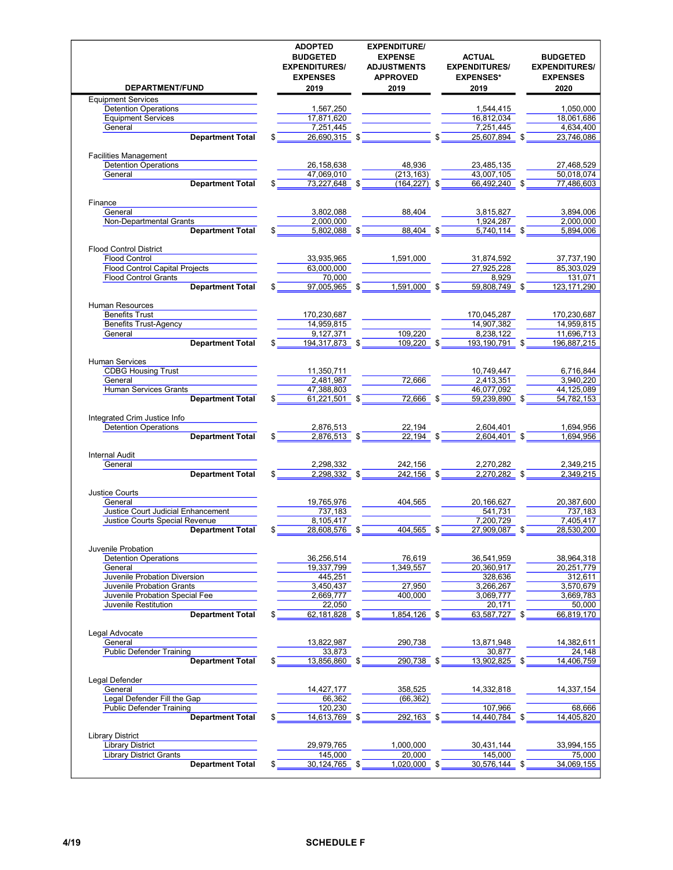| DEPARTMENT/FUND                       |     | <b>ADOPTED</b><br><b>BUDGETED</b><br><b>EXPENDITURES/</b><br><b>EXPENSES</b><br>2019 | <b>EXPENDITURE/</b><br><b>EXPENSE</b><br><b>ADJUSTMENTS</b><br><b>APPROVED</b><br>2019 |     | <b>ACTUAL</b><br><b>EXPENDITURES/</b><br><b>EXPENSES*</b><br>2019 |     | <b>BUDGETED</b><br><b>EXPENDITURES/</b><br><b>EXPENSES</b><br>2020 |
|---------------------------------------|-----|--------------------------------------------------------------------------------------|----------------------------------------------------------------------------------------|-----|-------------------------------------------------------------------|-----|--------------------------------------------------------------------|
| <b>Equipment Services</b>             |     |                                                                                      |                                                                                        |     |                                                                   |     |                                                                    |
| <b>Detention Operations</b>           |     | 1,567,250                                                                            |                                                                                        |     | 1,544,415                                                         |     | 1,050,000                                                          |
| <b>Equipment Services</b>             |     | 17,871,620                                                                           |                                                                                        |     | 16,812,034                                                        |     | 18,061,686                                                         |
| General                               |     | 7,251,445                                                                            |                                                                                        |     | 7,251,445                                                         |     | 4,634,400                                                          |
| <b>Department Total</b>               | \$_ | 26,690,315 \$                                                                        |                                                                                        |     | 25,607,894 \$                                                     |     | 23,746,086                                                         |
|                                       |     |                                                                                      |                                                                                        |     |                                                                   |     |                                                                    |
| <b>Facilities Management</b>          |     |                                                                                      |                                                                                        |     |                                                                   |     |                                                                    |
| <b>Detention Operations</b>           |     | 26,158,638                                                                           | 48,936                                                                                 |     | 23,485,135                                                        |     | 27,468,529                                                         |
| General                               |     | 47,069,010                                                                           | (213, 163)                                                                             |     | 43,007,105                                                        |     | 50,018,074                                                         |
| <b>Department Total</b>               | \$  | 73,227,648 \$                                                                        | $(164, 227)$ \$                                                                        |     | 66,492,240 \$                                                     |     | 77,486,603                                                         |
|                                       |     |                                                                                      |                                                                                        |     |                                                                   |     |                                                                    |
| Finance                               |     |                                                                                      |                                                                                        |     |                                                                   |     |                                                                    |
| General                               |     | 3,802,088                                                                            | 88,404                                                                                 |     | 3,815,827                                                         |     | 3,894,006                                                          |
| Non-Departmental Grants               |     | 2,000,000                                                                            |                                                                                        |     | 1,924,287                                                         |     | 2,000,000                                                          |
| <b>Department Total</b>               |     | 5,802,088 \$                                                                         | 88,404                                                                                 | \$  | 5,740,114                                                         |     | 5,894,006                                                          |
|                                       |     |                                                                                      |                                                                                        |     |                                                                   |     |                                                                    |
| <b>Flood Control District</b>         |     |                                                                                      |                                                                                        |     |                                                                   |     |                                                                    |
| <b>Flood Control</b>                  |     | 33,935,965                                                                           | 1,591,000                                                                              |     | 31,874,592                                                        |     | 37,737,190                                                         |
| <b>Flood Control Capital Projects</b> |     | 63,000,000                                                                           |                                                                                        |     | 27,925,228                                                        |     | 85,303,029                                                         |
| <b>Flood Control Grants</b>           |     | 70,000                                                                               |                                                                                        |     | 8.929                                                             |     | 131,071                                                            |
| <b>Department Total</b>               |     | 97,005,965 \$                                                                        | 1,591,000 \$                                                                           |     | 59,808,749 \$                                                     |     | 123, 171, 290                                                      |
|                                       |     |                                                                                      |                                                                                        |     |                                                                   |     |                                                                    |
| Human Resources                       |     |                                                                                      |                                                                                        |     |                                                                   |     |                                                                    |
| <b>Benefits Trust</b>                 |     | 170,230,687                                                                          |                                                                                        |     | 170,045,287                                                       |     | 170,230,687                                                        |
| <b>Benefits Trust-Agency</b>          |     | 14,959,815                                                                           |                                                                                        |     | 14,907,382                                                        |     | 14,959,815                                                         |
| General                               |     | 9,127,371                                                                            | 109.220                                                                                |     | 8,238,122                                                         |     | 11,696,713                                                         |
|                                       |     |                                                                                      |                                                                                        |     |                                                                   |     |                                                                    |
| <b>Department Total</b>               | \$  | 194,317,873                                                                          | \$<br>$109,220$ \$                                                                     |     | 193,190,791                                                       | \$  | 196,887,215                                                        |
|                                       |     |                                                                                      |                                                                                        |     |                                                                   |     |                                                                    |
| <b>Human Services</b>                 |     |                                                                                      |                                                                                        |     |                                                                   |     |                                                                    |
| <b>CDBG Housing Trust</b>             |     | 11,350,711                                                                           |                                                                                        |     | 10,749,447                                                        |     | 6,716,844                                                          |
| General                               |     | 2,481,987                                                                            | 72.666                                                                                 |     | 2,413,351                                                         |     | 3,940,220                                                          |
| <b>Human Services Grants</b>          |     | 47,388,803                                                                           |                                                                                        |     | 46,077,092                                                        |     | 44,125,089                                                         |
| <b>Department Total</b>               |     | 61,221,501 \$                                                                        | 72,666 \$                                                                              |     | 59,239,890 \$                                                     |     | 54,782,153                                                         |
|                                       |     |                                                                                      |                                                                                        |     |                                                                   |     |                                                                    |
| Integrated Crim Justice Info          |     |                                                                                      |                                                                                        |     |                                                                   |     |                                                                    |
| <b>Detention Operations</b>           |     | 2,876,513                                                                            | 22,194                                                                                 |     | 2,604,401                                                         |     | 1,694,956                                                          |
| <b>Department Total</b>               | \$  | $2,876,513$ \$                                                                       | 22,194 \$                                                                              |     | 2,604,401 \$                                                      |     | 1,694,956                                                          |
|                                       |     |                                                                                      |                                                                                        |     |                                                                   |     |                                                                    |
| <b>Internal Audit</b>                 |     |                                                                                      |                                                                                        |     |                                                                   |     |                                                                    |
| General                               |     | 2,298,332                                                                            | 242,156                                                                                |     | 2,270,282                                                         |     | 2,349,215                                                          |
| <b>Department Total</b>               | \$  | 2,298,332 \$                                                                         | 242,156                                                                                | \$  | 2,270,282                                                         | -\$ | 2,349,215                                                          |
|                                       |     |                                                                                      |                                                                                        |     |                                                                   |     |                                                                    |
| <b>Justice Courts</b>                 |     |                                                                                      |                                                                                        |     |                                                                   |     |                                                                    |
| General                               |     | 19,765,976                                                                           | 404,565                                                                                |     | 20,166,627                                                        |     | 20,387,600                                                         |
| Justice Court Judicial Enhancement    |     | 737,183                                                                              |                                                                                        |     | 541.731                                                           |     | 737.183                                                            |
| Justice Courts Special Revenue        |     | 8,105,417                                                                            |                                                                                        |     | 7,200,729                                                         |     | 7.405.417                                                          |
| <b>Department Total</b>               |     | 28,608,576                                                                           | \$<br>404,565                                                                          |     | 27,909,087                                                        | \$  | 28,530,200                                                         |
|                                       |     |                                                                                      |                                                                                        |     |                                                                   |     |                                                                    |
| Juvenile Probation                    |     |                                                                                      |                                                                                        |     |                                                                   |     |                                                                    |
| <b>Detention Operations</b>           |     | 36,256,514                                                                           | 76,619                                                                                 |     | 36,541,959                                                        |     | 38,964,318                                                         |
| General                               |     | 19.337.799                                                                           | 1,349,557                                                                              |     | 20,360,917                                                        |     | 20,251,779                                                         |
| Juvenile Probation Diversion          |     | 445,251                                                                              |                                                                                        |     | 328,636                                                           |     | 312,611                                                            |
| Juvenile Probation Grants             |     | 3,450,437                                                                            | 27,950                                                                                 |     | 3,266,267                                                         |     | 3,570,679                                                          |
| Juvenile Probation Special Fee        |     | 2,669,777                                                                            | 400,000                                                                                |     | 3,069,777                                                         |     | 3,669,783                                                          |
| Juvenile Restitution                  |     | 22,050                                                                               |                                                                                        |     | 20,171                                                            |     | 50,000                                                             |
| <b>Department Total</b>               |     | 62,181,828 \$                                                                        | 1,854,126                                                                              |     | 63,587,727 \$                                                     |     | 66,819,170                                                         |
|                                       |     |                                                                                      |                                                                                        |     |                                                                   |     |                                                                    |
| Legal Advocate                        |     |                                                                                      |                                                                                        |     |                                                                   |     |                                                                    |
| General                               |     | 13,822,987                                                                           | 290,738                                                                                |     | 13,871,948                                                        |     | 14,382,611                                                         |
| <b>Public Defender Training</b>       |     | 33,873                                                                               |                                                                                        |     | 30,877                                                            |     | 24.148                                                             |
| <b>Department Total</b>               | \$  | 13,856,860 \$                                                                        | 290,738                                                                                | -\$ | 13,902,825 \$                                                     |     | 14,406,759                                                         |
|                                       |     |                                                                                      |                                                                                        |     |                                                                   |     |                                                                    |
| Legal Defender                        |     |                                                                                      |                                                                                        |     |                                                                   |     |                                                                    |
| General                               |     | 14,427,177                                                                           | 358,525                                                                                |     | 14,332,818                                                        |     | 14,337,154                                                         |
| Legal Defender Fill the Gap           |     | 66,362                                                                               | (66, 362)                                                                              |     |                                                                   |     |                                                                    |
| <b>Public Defender Training</b>       |     | 120,230                                                                              |                                                                                        |     | 107,966                                                           |     | 68,666                                                             |
| <b>Department Total</b>               | \$  | 14,613,769                                                                           | \$<br>292,163                                                                          | -\$ | 14,440,784                                                        | -\$ | 14,405,820                                                         |
|                                       |     |                                                                                      |                                                                                        |     |                                                                   |     |                                                                    |
| <b>Library District</b>               |     |                                                                                      |                                                                                        |     |                                                                   |     |                                                                    |
| <b>Library District</b>               |     | 29,979,765                                                                           | 1,000,000                                                                              |     | 30,431,144                                                        |     | 33,994,155                                                         |
| <b>Library District Grants</b>        |     | 145,000                                                                              | 20,000                                                                                 |     | 145,000                                                           |     | 75,000                                                             |
| <b>Department Total</b>               | \$  | 30,124,765 \$                                                                        | $1,020,000$ \$                                                                         |     | $30,576,144$ \$                                                   |     | 34,069,155                                                         |
|                                       |     |                                                                                      |                                                                                        |     |                                                                   |     |                                                                    |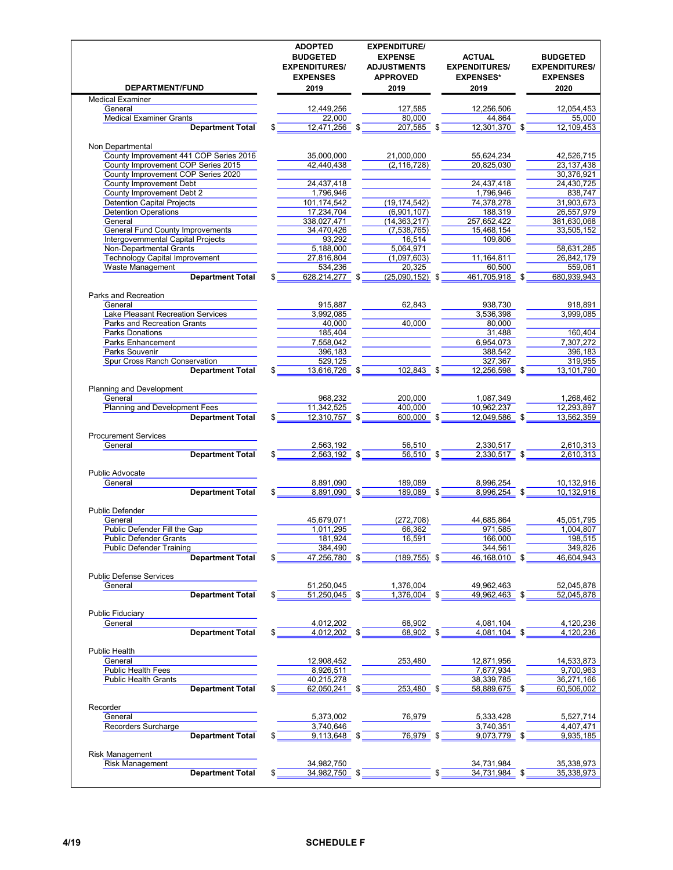| <b>DEPARTMENT/FUND</b>                                                        | <b>ADOPTED</b><br><b>BUDGETED</b><br><b>EXPENDITURES/</b><br><b>EXPENSES</b><br>2019 |     | <b>EXPENDITURE/</b><br><b>EXPENSE</b><br><b>ADJUSTMENTS</b><br><b>APPROVED</b><br>2019 |     | <b>ACTUAL</b><br><b>EXPENDITURES/</b><br><b>EXPENSES*</b><br>2019 |     | <b>BUDGETED</b><br><b>EXPENDITURES/</b><br><b>EXPENSES</b><br>2020 |
|-------------------------------------------------------------------------------|--------------------------------------------------------------------------------------|-----|----------------------------------------------------------------------------------------|-----|-------------------------------------------------------------------|-----|--------------------------------------------------------------------|
| <b>Medical Examiner</b>                                                       |                                                                                      |     |                                                                                        |     |                                                                   |     |                                                                    |
| General                                                                       | 12,449,256                                                                           |     | 127,585                                                                                |     | 12,256,506                                                        |     | 12,054,453                                                         |
| <b>Medical Examiner Grants</b>                                                | 22,000                                                                               |     | 80,000                                                                                 |     | 44,864                                                            |     | 55,000                                                             |
| <b>Department Total</b>                                                       | 12,471,256                                                                           |     | 207,585                                                                                |     | 12,301,370                                                        |     | 12,109,453                                                         |
| Non Departmental                                                              |                                                                                      |     |                                                                                        |     |                                                                   |     |                                                                    |
| County Improvement 441 COP Series 2016                                        | 35,000,000                                                                           |     | 21,000,000                                                                             |     | 55,624,234                                                        |     | 42,526,715                                                         |
| County Improvement COP Series 2015                                            | 42,440,438                                                                           |     | (2, 116, 728)                                                                          |     | 20,825,030                                                        |     | 23, 137, 438                                                       |
| County Improvement COP Series 2020                                            |                                                                                      |     |                                                                                        |     |                                                                   |     | 30,376,921                                                         |
| <b>County Improvement Debt</b>                                                | 24,437,418                                                                           |     |                                                                                        |     | 24.437.418                                                        |     | 24,430,725                                                         |
| County Improvement Debt 2                                                     | 1,796,946                                                                            |     |                                                                                        |     | 1,796,946                                                         |     | 838,747                                                            |
| <b>Detention Capital Projects</b>                                             | 101,174,542                                                                          |     | (19, 174, 542)                                                                         |     | 74,378,278                                                        |     | 31,903,673                                                         |
| <b>Detention Operations</b>                                                   | 17,234,704                                                                           |     | (6,901,107)                                                                            |     | 188,319                                                           |     | 26,557,979                                                         |
| General                                                                       | 338,027,471                                                                          |     | (14, 363, 217)                                                                         |     | 257,652,422                                                       |     | 381,630,068                                                        |
| <b>General Fund County Improvements</b><br>Intergovernmental Capital Projects | 34,470,426<br>93,292                                                                 |     | (7,538,765)<br>16,514                                                                  |     | 15,468,154<br>109,806                                             |     | 33,505,152                                                         |
| <b>Non-Departmental Grants</b>                                                | 5,188,000                                                                            |     | 5,064,971                                                                              |     |                                                                   |     | 58,631,285                                                         |
| <b>Technology Capital Improvement</b>                                         | 27,816,804                                                                           |     | (1,097,603)                                                                            |     | 11,164,811                                                        |     | 26,842,179                                                         |
| <b>Waste Management</b>                                                       | 534,236                                                                              |     | 20,325                                                                                 |     | 60.500                                                            |     | 559,061                                                            |
| <b>Department Total</b>                                                       | 628,214,277<br>\$                                                                    |     | $(25,090,152)$ \$                                                                      |     | 461,705,918                                                       | -\$ | 680,939,943                                                        |
|                                                                               |                                                                                      |     |                                                                                        |     |                                                                   |     |                                                                    |
| Parks and Recreation                                                          |                                                                                      |     |                                                                                        |     |                                                                   |     |                                                                    |
| General                                                                       | 915,887                                                                              |     | 62,843                                                                                 |     | 938,730                                                           |     | 918,891                                                            |
| Lake Pleasant Recreation Services                                             | 3,992,085                                                                            |     |                                                                                        |     | 3,536,398                                                         |     | 3,999,085                                                          |
| Parks and Recreation Grants                                                   | 40,000                                                                               |     | 40,000                                                                                 |     | 80,000                                                            |     |                                                                    |
| Parks Donations                                                               | 185,404                                                                              |     |                                                                                        |     | 31,488                                                            |     | 160,404                                                            |
| <b>Parks Enhancement</b>                                                      | 7,558,042<br>396.183                                                                 |     |                                                                                        |     | 6,954,073                                                         |     | 7,307,272                                                          |
| Parks Souvenir<br>Spur Cross Ranch Conservation                               | 529,125                                                                              |     |                                                                                        |     | 388,542<br>327,367                                                |     | 396,183<br>319,955                                                 |
| <b>Department Total</b>                                                       | 13,616,726 \$<br>\$                                                                  |     | 102,843                                                                                | \$  | 12,256,598                                                        |     | 13,101,790                                                         |
|                                                                               |                                                                                      |     |                                                                                        |     |                                                                   |     |                                                                    |
| Planning and Development                                                      |                                                                                      |     |                                                                                        |     |                                                                   |     |                                                                    |
| General                                                                       | 968,232                                                                              |     | 200,000                                                                                |     | 1,087,349                                                         |     | 1,268,462                                                          |
| Planning and Development Fees                                                 | 11,342,525                                                                           |     | 400.000                                                                                |     | 10,962,237                                                        |     | 12,293,897                                                         |
| <b>Department Total</b>                                                       | 12,310,757<br>\$                                                                     | -\$ | 600.000 \$                                                                             |     | 12,049,586                                                        |     | 13,562,359                                                         |
| <b>Procurement Services</b>                                                   |                                                                                      |     |                                                                                        |     |                                                                   |     |                                                                    |
| General                                                                       | 2,563,192                                                                            |     | 56,510                                                                                 |     | 2,330,517                                                         |     | 2,610,313                                                          |
| <b>Department Total</b>                                                       | 2,563,192 \$<br>\$                                                                   |     | 56,510                                                                                 | \$  | 2,330,517                                                         | \$  | 2,610,313                                                          |
| <b>Public Advocate</b>                                                        |                                                                                      |     |                                                                                        |     |                                                                   |     |                                                                    |
| General                                                                       | 8,891,090                                                                            |     | 189,089                                                                                |     | 8,996,254                                                         |     | 10,132,916                                                         |
| <b>Department Total</b>                                                       | 8,891,090 \$                                                                         |     | 189,089 \$                                                                             |     | 8,996,254                                                         | -\$ | 10,132,916                                                         |
|                                                                               |                                                                                      |     |                                                                                        |     |                                                                   |     |                                                                    |
| <b>Public Defender</b>                                                        |                                                                                      |     |                                                                                        |     |                                                                   |     |                                                                    |
| General                                                                       | 45,679,071                                                                           |     | (272, 708)                                                                             |     | 44,685,864                                                        |     | 45,051,795                                                         |
| Public Defender Fill the Gap                                                  | 1,011,295                                                                            |     | 66,362                                                                                 |     | 971,585                                                           |     | 1,004,807                                                          |
| <b>Public Defender Grants</b>                                                 | 181,924                                                                              |     | 16,591                                                                                 |     | 166,000                                                           |     | 198,515                                                            |
| <b>Public Defender Training</b>                                               | 384,490                                                                              |     |                                                                                        |     | 344,561                                                           |     | 349,826                                                            |
| <b>Department Total</b>                                                       | 47,256,780                                                                           |     | $(189, 755)$ \$                                                                        |     | 46,168,010                                                        |     | 46,604,943                                                         |
| <b>Public Defense Services</b>                                                |                                                                                      |     |                                                                                        |     |                                                                   |     |                                                                    |
| General                                                                       | 51,250,045                                                                           |     | 1,376,004                                                                              |     | 49.962.463                                                        |     | 52,045,878                                                         |
| <b>Department Total</b>                                                       | 51,250,045<br>\$                                                                     |     | 1,376,004                                                                              | -\$ | 49,962,463                                                        |     | 52,045,878                                                         |
| <b>Public Fiduciary</b>                                                       |                                                                                      |     |                                                                                        |     |                                                                   |     |                                                                    |
| General                                                                       | 4,012,202                                                                            |     | 68,902                                                                                 |     | 4,081,104                                                         |     | 4,120,236                                                          |
| <b>Department Total</b>                                                       | 4,012,202                                                                            | \$  | 68,902                                                                                 | \$  | 4,081,104                                                         | \$  | 4,120,236                                                          |
|                                                                               |                                                                                      |     |                                                                                        |     |                                                                   |     |                                                                    |
| <b>Public Health</b>                                                          |                                                                                      |     |                                                                                        |     |                                                                   |     |                                                                    |
| General                                                                       | 12,908,452                                                                           |     | 253,480                                                                                |     | 12,871,956                                                        |     | 14,533,873                                                         |
| <b>Public Health Fees</b><br><b>Public Health Grants</b>                      | 8,926,511                                                                            |     |                                                                                        |     | 7,677,934                                                         |     | 9,700,963                                                          |
| <b>Department Total</b>                                                       | 40,215,278<br>62,050,241 \$<br>\$                                                    |     | 253,480 \$                                                                             |     | 38,339,785<br>58,889,675 \$                                       |     | 36,271,166<br>60,506,002                                           |
|                                                                               |                                                                                      |     |                                                                                        |     |                                                                   |     |                                                                    |
| Recorder                                                                      |                                                                                      |     |                                                                                        |     |                                                                   |     |                                                                    |
| General                                                                       | 5,373,002                                                                            |     | 76,979                                                                                 |     | 5,333,428                                                         |     | 5,527,714                                                          |
| Recorders Surcharge                                                           | 3,740,646                                                                            |     |                                                                                        |     | 3,740,351                                                         |     | 4,407,471                                                          |
| <b>Department Total</b>                                                       | $9,113,648$ \$<br>\$                                                                 |     | 76,979                                                                                 | \$  | $9,073,779$ \$                                                    |     | 9,935,185                                                          |
| <b>Risk Management</b>                                                        |                                                                                      |     |                                                                                        |     |                                                                   |     |                                                                    |
| <b>Risk Management</b>                                                        | 34,982,750                                                                           |     |                                                                                        |     | 34,731,984                                                        |     | 35,338,973                                                         |
| <b>Department Total</b>                                                       | 34,982,750                                                                           | \$  |                                                                                        |     | 34,731,984                                                        | S   | 35,338,973                                                         |
|                                                                               |                                                                                      |     |                                                                                        |     |                                                                   |     |                                                                    |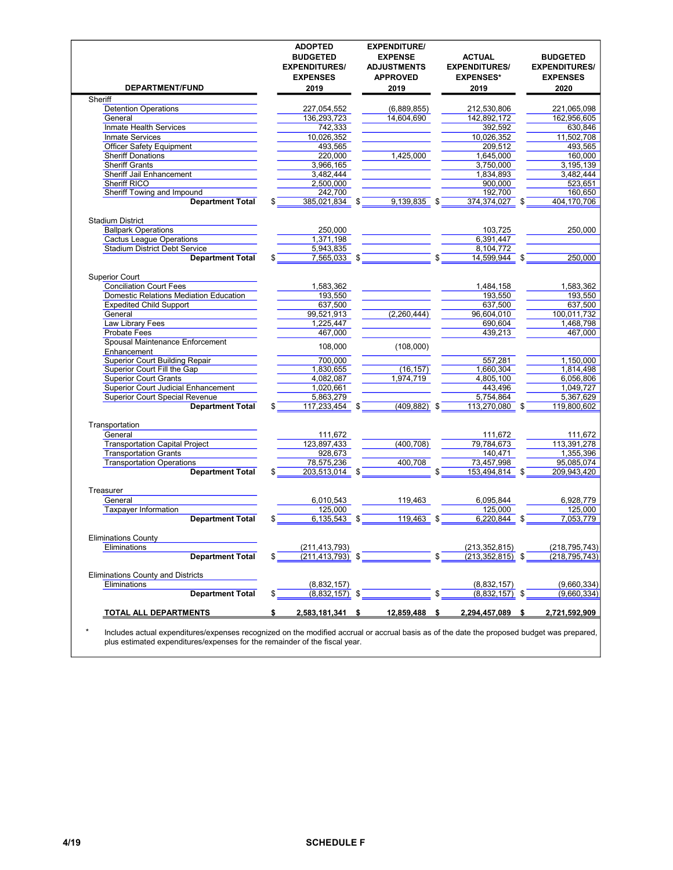|                                                      | <b>ADOPTED</b><br><b>BUDGETED</b><br><b>EXPENDITURES/</b><br><b>EXPENSES</b> | <b>EXPENDITURE/</b><br><b>EXPENSE</b><br><b>ADJUSTMENTS</b><br><b>APPROVED</b> | <b>ACTUAL</b><br><b>EXPENDITURES/</b><br><b>EXPENSES*</b> |      | <b>BUDGETED</b><br><b>EXPENDITURES/</b><br><b>EXPENSES</b> |
|------------------------------------------------------|------------------------------------------------------------------------------|--------------------------------------------------------------------------------|-----------------------------------------------------------|------|------------------------------------------------------------|
| <b>DEPARTMENT/FUND</b>                               | 2019                                                                         | 2019                                                                           | 2019                                                      |      | 2020                                                       |
| Sheriff                                              |                                                                              |                                                                                |                                                           |      |                                                            |
| <b>Detention Operations</b>                          | 227,054,552                                                                  | (6,889,855)                                                                    | 212,530,806                                               |      | 221,065,098                                                |
| General                                              | 136,293,723                                                                  | 14,604,690                                                                     | 142,892,172                                               |      | 162,956,605                                                |
| Inmate Health Services                               | 742,333                                                                      |                                                                                | 392,592                                                   |      | 630,846                                                    |
| <b>Inmate Services</b>                               | 10,026,352                                                                   |                                                                                | 10,026,352                                                |      | 11,502,708                                                 |
| <b>Officer Safety Equipment</b>                      | 493,565                                                                      |                                                                                | 209,512                                                   |      | 493,565                                                    |
| <b>Sheriff Donations</b>                             | 220,000                                                                      | 1,425,000                                                                      | 1,645,000                                                 |      | 160,000                                                    |
| <b>Sheriff Grants</b>                                | 3,966,165                                                                    |                                                                                | 3,750,000                                                 |      | 3, 195, 139                                                |
| <b>Sheriff Jail Enhancement</b>                      | 3,482,444                                                                    |                                                                                | 1,834,893                                                 |      | 3,482,444                                                  |
| <b>Sheriff RICO</b>                                  | 2,500,000                                                                    |                                                                                | 900,000                                                   |      | 523,651                                                    |
| <b>Sheriff Towing and Impound</b>                    | 242,700                                                                      |                                                                                | 192,700                                                   |      | 160,650                                                    |
| <b>Department Total</b>                              | 385,021,834                                                                  | \$<br>9,139,835                                                                | 374.374.027 \$                                            |      | 404.170.706                                                |
| <b>Stadium District</b>                              |                                                                              |                                                                                |                                                           |      |                                                            |
| <b>Ballpark Operations</b>                           | 250,000                                                                      |                                                                                | 103,725                                                   |      | 250.000                                                    |
| <b>Cactus League Operations</b>                      | 1,371,198                                                                    |                                                                                | 6,391,447                                                 |      |                                                            |
| <b>Stadium District Debt Service</b>                 | 5,943,835                                                                    |                                                                                | 8,104,772                                                 |      |                                                            |
| <b>Department Total</b>                              | \$<br>7,565,033 \$                                                           |                                                                                | 14,599,944                                                |      | 250,000                                                    |
| <b>Superior Court</b>                                |                                                                              |                                                                                |                                                           |      |                                                            |
| <b>Conciliation Court Fees</b>                       | 1,583,362                                                                    |                                                                                | 1,484,158                                                 |      | 1,583,362                                                  |
| Domestic Relations Mediation Education               | 193,550                                                                      |                                                                                | 193,550                                                   |      | 193,550                                                    |
| <b>Expedited Child Support</b>                       | 637,500                                                                      |                                                                                | 637,500                                                   |      | 637,500                                                    |
| General                                              | 99,521,913                                                                   | (2,260,444)                                                                    | 96,604,010                                                |      | 100,011,732                                                |
| Law Library Fees                                     | 1,225,447                                                                    |                                                                                | 690,604                                                   |      | 1,468,798                                                  |
| Probate Fees                                         | 467.000                                                                      |                                                                                | 439.213                                                   |      | 467,000                                                    |
| Spousal Maintenance Enforcement                      | 108,000                                                                      | (108,000)                                                                      |                                                           |      |                                                            |
| Enhancement<br><b>Superior Court Building Repair</b> | 700,000                                                                      |                                                                                | 557,281                                                   |      | 1,150,000                                                  |
| <b>Superior Court Fill the Gap</b>                   | 1,830,655                                                                    | (16, 157)                                                                      | 1,660,304                                                 |      | 1,814,498                                                  |
| <b>Superior Court Grants</b>                         | 4,082,087                                                                    | 1,974,719                                                                      | 4,805,100                                                 |      | 6,056,806                                                  |
| Superior Court Judicial Enhancement                  | 1,020,661                                                                    |                                                                                | 443,496                                                   |      | 1,049,727                                                  |
| <b>Superior Court Special Revenue</b>                | 5,863,279                                                                    |                                                                                | 5,754,864                                                 |      | 5,367,629                                                  |
| <b>Department Total</b>                              | 117,233,454 \$                                                               | $(409, 882)$ \$                                                                | 113,270,080                                               | - \$ | 119,800,602                                                |
| Transportation                                       |                                                                              |                                                                                |                                                           |      |                                                            |
| General                                              | 111,672                                                                      |                                                                                | 111,672                                                   |      | 111,672                                                    |
| <b>Transportation Capital Project</b>                | 123,897,433                                                                  | (400, 708)                                                                     | 79,784,673                                                |      | 113,391,278                                                |
| <b>Transportation Grants</b>                         | 928,673                                                                      |                                                                                | 140,471                                                   |      | 1,355,396                                                  |
| <b>Transportation Operations</b>                     | 78,575,236                                                                   | 400,708                                                                        | 73,457,998                                                |      | 95,085,074                                                 |
| <b>Department Total</b>                              | 203,513,014 \$                                                               |                                                                                | 153,494,814                                               |      | 209,943,420                                                |
|                                                      |                                                                              |                                                                                |                                                           |      |                                                            |
| Treasurer                                            |                                                                              |                                                                                |                                                           |      |                                                            |
| General                                              | 6,010,543                                                                    | 119,463                                                                        | 6,095,844                                                 |      | 6,928,779                                                  |
| <b>Taxpayer Information</b>                          | 125,000                                                                      |                                                                                | 125.000                                                   |      | 125.000                                                    |
| <b>Department Total</b>                              | \$<br>6,135,543 \$                                                           | 119,463                                                                        | \$<br>6,220,844                                           | -\$  | 7,053,779                                                  |
| <b>Eliminations County</b>                           |                                                                              |                                                                                |                                                           |      |                                                            |
| Eliminations                                         | (211, 413, 793)                                                              |                                                                                | (213, 352, 815)                                           |      | (218, 795, 743)                                            |
| <b>Department Total</b>                              | $(211, 413, 793)$ \$                                                         |                                                                                | $(213, 352, 815)$ \$                                      |      | (218, 795, 743)                                            |
| <b>Eliminations County and Districts</b>             |                                                                              |                                                                                |                                                           |      |                                                            |
| Eliminations                                         | (8,832,157)                                                                  |                                                                                | (8,832,157)                                               |      | (9,660,334)                                                |
| <b>Department Total</b>                              | \$<br>(8,832,157)                                                            |                                                                                | (8,832,157)                                               | - \$ | (9,660,334)                                                |
| TOTAL ALL DEPARTMENTS                                | \$<br>2,583,181,341                                                          | \$<br>12,859,488                                                               | \$<br>2,294,457,089                                       | \$   | 2,721,592,909                                              |
|                                                      |                                                                              |                                                                                |                                                           |      |                                                            |

\* Includes actual expenditures/expenses recognized on the modified accrual or accrual basis as of the date the proposed budget was prepared, plus estimated expenditures/expenses for the remainder of the fiscal year.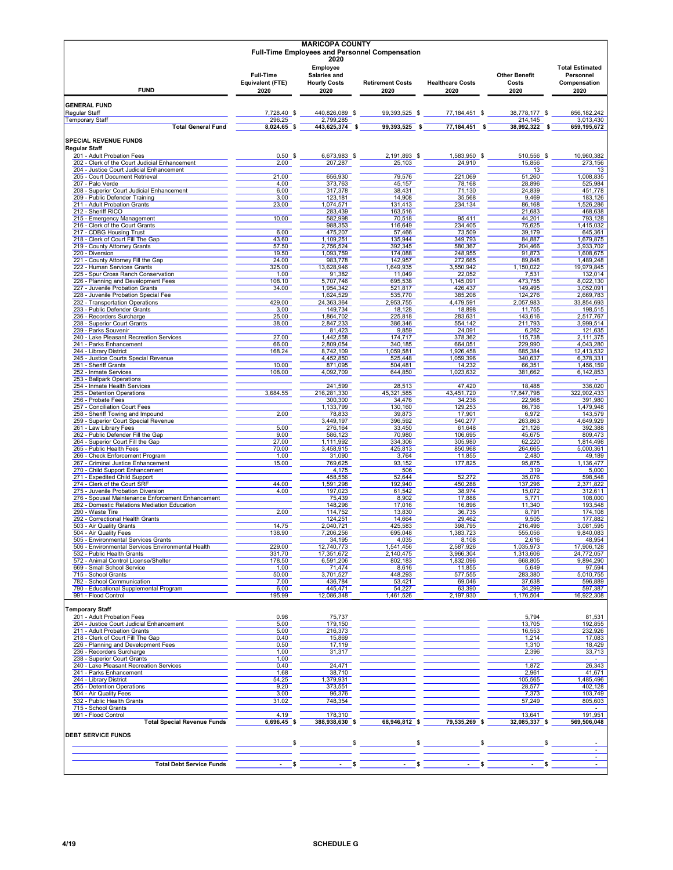| <b>MARICOPA COUNTY</b><br><b>Full-Time Employees and Personnel Compensation</b><br>2020   |                                                     |                                                         |                                 |                                 |                                       |                                                             |  |  |  |
|-------------------------------------------------------------------------------------------|-----------------------------------------------------|---------------------------------------------------------|---------------------------------|---------------------------------|---------------------------------------|-------------------------------------------------------------|--|--|--|
| <b>FUND</b>                                                                               | <b>Full-Time</b><br><b>Equivalent (FTE)</b><br>2020 | Employee<br>Salaries and<br><b>Hourly Costs</b><br>2020 | <b>Retirement Costs</b><br>2020 | <b>Healthcare Costs</b><br>2020 | <b>Other Benefit</b><br>Costs<br>2020 | <b>Total Estimated</b><br>Personnel<br>Compensation<br>2020 |  |  |  |
| <b>GENERAL FUND</b>                                                                       |                                                     |                                                         |                                 |                                 |                                       |                                                             |  |  |  |
| <b>Regular Staff</b><br><b>Temporary Staff</b>                                            | 7,728.40 \$<br>296.25                               | 440,826,089 \$<br>2,799,285                             | 99,393,525 \$                   | 77,184,451 \$                   | 38,778,177 \$<br>214,145              | 656, 182, 242<br>3,013,430                                  |  |  |  |
| <b>Total General Fund</b>                                                                 | 8,024.65 \$                                         | 443,625,374 \$                                          | 99,393,525 \$                   | 77,184,451 \$                   | 38,992,322 \$                         | 659,195,672                                                 |  |  |  |
| <b>SPECIAL REVENUE FUNDS</b>                                                              |                                                     |                                                         |                                 |                                 |                                       |                                                             |  |  |  |
| <b>Regular Staff</b><br>201 - Adult Probation Fees                                        | $0.50$ \$                                           | 6,673,983 \$                                            | 2,191,893 \$                    | 1,583,950 \$                    | 510.556 \$                            | 10,960,382                                                  |  |  |  |
| 202 - Clerk of the Court Judicial Enhancement<br>204 - Justice Court Judicial Enhancement | 2.00                                                | 207,287                                                 | 25,103                          | 24,910                          | 15,856<br>13                          | 273,156<br>13                                               |  |  |  |
| 205 - Court Document Retrieval                                                            | 21.00                                               | 656.930                                                 | 79,576                          | 221,069                         | 51,260                                | 1,008,835                                                   |  |  |  |
| 207 - Palo Verde<br>208 - Superior Court Judicial Enhancement                             | 4.00<br>6.00                                        | 373.763<br>317,378                                      | 45,157<br>38,431                | 78,168<br>71,130                | 28,896<br>24,839                      | 525,984<br>451,778                                          |  |  |  |
| 209 - Public Defender Training<br>211 - Adult Probation Grants                            | 3.00<br>23.00                                       | 123,181<br>1,074,571                                    | 14,908<br>131,413               | 35,568<br>234,134               | 9,469<br>86,168                       | 183,126<br>1,526,286                                        |  |  |  |
| 212 - Sheriff RICO                                                                        |                                                     | 283,439                                                 | 163,516                         |                                 | 21,683                                | 468,638                                                     |  |  |  |
| 215 - Emergency Management<br>216 - Clerk of the Court Grants                             | 10.00                                               | 582,998<br>988,353                                      | 70,518<br>116,649               | 95,411<br>234,405               | 44,201<br>75,625                      | 793,128<br>1,415,032                                        |  |  |  |
| 217 - CDBG Housing Trust<br>218 - Clerk of Court Fill The Gap                             | 6.00<br>43.60                                       | 475,207<br>1,109,251                                    | 57,466<br>135,944               | 73,509<br>349,793               | 39,179<br>84,887                      | 645,361<br>1,679,875                                        |  |  |  |
| 219 - County Attorney Grants                                                              | 57.50                                               | 2,756,524                                               | 392,345                         | 580,367                         | 204,466                               | 3,933,702                                                   |  |  |  |
| 220 - Diversion<br>221 - County Attorney Fill the Gap                                     | 19.50<br>24.00                                      | 1,093,759<br>983,778                                    | 174,088<br>142,957              | 248,955<br>272,665              | 91,873<br>89,848                      | 1,608,675<br>1,489,248                                      |  |  |  |
| 222 - Human Services Grants                                                               | 325.00                                              | 13,628,946                                              | 1,649,935                       | 3,550,942                       | 1,150,022                             | 19,979,845                                                  |  |  |  |
| 225 - Spur Cross Ranch Conservation<br>226 - Planning and Development Fees                | 1.00<br>108.10                                      | 91,382<br>5,707,746                                     | 11,049<br>695,538               | 22,052<br>1,145,091             | 7,531<br>473,755                      | 132,014<br>8,022,130                                        |  |  |  |
| 227 - Juvenile Probation Grants<br>228 - Juvenile Probation Special Fee                   | 34.00                                               | 1,954,342<br>1,624,529                                  | 521,817<br>535,770              | 426,437<br>385,208              | 149,495<br>124,276                    | 3,052,091<br>2,669,783                                      |  |  |  |
| 232 - Transportation Operations                                                           | 429.00                                              | 24,363,364                                              | 2,953,755                       | 4,479,591                       | 2,057,983                             | 33,854,693                                                  |  |  |  |
| 233 - Public Defender Grants<br>236 - Recorders Surcharge                                 | 3.00<br>25.00                                       | 149.734<br>1,864,702                                    | 18,128<br>225,818               | 18,898<br>283,631               | 11,755<br>143,616                     | 198,515<br>2,517,767                                        |  |  |  |
| 238 - Superior Court Grants<br>239 - Parks Souvenir                                       | 38.00                                               | 2,847,233<br>81,423                                     | 386.346<br>9,859                | 554,142<br>24,091               | 211,793<br>6,262                      | 3,999,514<br>121,635                                        |  |  |  |
| 240 - Lake Pleasant Recreation Services                                                   | 27.00                                               | 1,442,558                                               | 174,717                         | 378,362                         | 115,738                               | 2.111.375                                                   |  |  |  |
| 241 - Parks Enhancement<br>244 - Library District                                         | 66.00<br>168.24                                     | 2,809,054<br>8,742,109                                  | 340,185<br>1,059,581            | 664,051<br>1,926,458            | 229,990<br>685,384                    | 4,043,280<br>12,413,532                                     |  |  |  |
| 245 - Justice Courts Special Revenue<br>251 - Sheriff Grants                              | 10.00                                               | 4,452,850<br>871,095                                    | 525,448<br>504,481              | 1,059,396<br>14,232             | 340,637<br>66,351                     | 6,378,331<br>1,456,159                                      |  |  |  |
| 252 - Inmate Services                                                                     | 108.00                                              | 4,092,709                                               | 644,850                         | 1,023,632                       | 381,662                               | 6,142,853                                                   |  |  |  |
| 253 - Ballpark Operations<br>254 - Inmate Health Services                                 |                                                     | 241,599                                                 | 28,513                          | 47,420                          | 18,488                                | $\overline{\phantom{a}}$<br>336,020                         |  |  |  |
| 255 - Detention Operations                                                                | 3,684.55                                            | 216,281,330                                             | 45,321,585                      | 43,451,720                      | 17,847,798                            | 322,902,433                                                 |  |  |  |
| 256 - Probate Fees<br>257 - Conciliation Court Fees                                       |                                                     | 300,300<br>1,133,799                                    | 34,476<br>130,160               | 34,236<br>129,253               | 22,968<br>86,736                      | 391,980<br>1,479,948                                        |  |  |  |
| 258 - Sheriff Towing and Impound<br>259 - Superior Court Special Revenue                  | 2.00                                                | 78,833<br>3,449,197                                     | 39,873<br>396,592               | 17,901<br>540,277               | 6,972<br>263,863                      | 143,579<br>4,649,929                                        |  |  |  |
| 261 - Law Library Fees                                                                    | 5.00                                                | 276,164                                                 | 33,450                          | 61,648                          | 21,126                                | 392,388                                                     |  |  |  |
| 262 - Public Defender Fill the Gap<br>264 - Superior Court Fill the Gap                   | 9.00<br>27.00                                       | 586,123<br>1,111,992                                    | 70,980<br>334,306               | 106,695<br>305,980              | 45,675<br>62,220                      | 809,473<br>1,814,498                                        |  |  |  |
| 265 - Public Health Fees<br>266 - Check Enforcement Program                               | 70.00<br>1.00                                       | 3,458,915<br>31,090                                     | 425,813<br>3,764                | 850,968<br>11,855               | 264,665<br>2,480                      | 5,000,361<br>49,189                                         |  |  |  |
| 267 - Criminal Justice Enhancement                                                        | 15.00                                               | 769,625                                                 | 93,152                          | 177,825                         | 95,875                                | 1,136,477                                                   |  |  |  |
| 270 - Child Support Enhancement<br>271 - Expedited Child Support                          |                                                     | 4,175<br>458,556                                        | 506<br>52,644                   | 52,272                          | 319<br>35,076                         | 5,000<br>598,548                                            |  |  |  |
| 274 - Clerk of the Court SRF<br>275 - Juvenile Probation Diversion                        | 44.00<br>4.00                                       | 1,591,298<br>197,023                                    | 192,940<br>61,542               | 450,288<br>38,974               | 137,296<br>15,072                     | 2,371,822<br>312,611                                        |  |  |  |
| 276 - Spousal Maintenance Enforcement Enhancement                                         |                                                     | 75,439                                                  | 8,902                           | 17,888                          | 5,771                                 | 108,000                                                     |  |  |  |
| 282 - Domestic Relations Mediation Education<br>290 - Waste Tire                          | 2.00                                                | 148,296<br>114,752                                      | 17,016<br>13,830                | 16,896<br>36,735                | 11,340<br>8,791                       | 193,548<br>174,108                                          |  |  |  |
| 292 - Correctional Health Grants                                                          | 14.75                                               | 124,251                                                 | 14,664                          | 29,462                          | 9,505                                 | 177,882                                                     |  |  |  |
| 503 - Air Quality Grants<br>504 - Air Quality Fees                                        | 138.90                                              | 2,040,721<br>200,250                                    | 425,583<br>695,048              | 398,795<br>383,723              | 216,496<br>ວວວ,ບວ໐                    | 3,081,595<br>9,840,083                                      |  |  |  |
| 505 - Environmental Services Grants<br>506 - Environmental Services Environmental Health  | 229.00                                              | 34,195<br>12,740,773                                    | 4,035<br>1,541,456              | 8,108<br>2,587,926              | 2,616<br>1,035,973                    | 48,954<br>17,906,128                                        |  |  |  |
| 532 - Public Health Grants                                                                | 331.70                                              | 17,351,672                                              | 2,140,475                       | 3,966,304                       | 1,313,606                             | 24,772,057                                                  |  |  |  |
| 572 - Animal Control License/Shelter<br>669 - Small School Service                        | 178.50<br>1.00                                      | 6,591,206<br>71,474                                     | 802,183<br>8,616                | 1,832,096<br>11,855             | 668,805<br>5,649                      | 9,894,290<br>97,594                                         |  |  |  |
| 715 - School Grants<br>782 - School Communication                                         | 50.00<br>7.00                                       | 3,701,527<br>436,784                                    | 448,293<br>53,421               | 577,555<br>69,046               | 283,380<br>37,638                     | 5,010,755<br>596,889                                        |  |  |  |
| 790 - Educational Supplemental Program                                                    | 6.00                                                | 445,471                                                 | 54,227                          | 63,390                          | 34,299                                | 597,387                                                     |  |  |  |
| 991 - Flood Control                                                                       | 195.99                                              | 12,086,348                                              | 1,461,526                       | 2,197,930                       | 1,176,504                             | 16,922,308                                                  |  |  |  |
| <b>Temporary Staff</b><br>201 - Adult Probation Fees                                      | 0.98                                                | 75,737                                                  |                                 |                                 | 5,794                                 | 81,531                                                      |  |  |  |
| 204 - Justice Court Judicial Enhancement                                                  | 5.00                                                | 179,150                                                 |                                 |                                 | 13,705                                | 192,855                                                     |  |  |  |
| 211 - Adult Probation Grants<br>218 - Clerk of Court Fill The Gap                         | 5.00<br>0.40                                        | 216,373<br>15,869                                       |                                 |                                 | 16,553<br>1,214                       | 232,926<br>17,083                                           |  |  |  |
| 226 - Planning and Development Fees<br>236 - Recorders Surcharge                          | 0.50                                                | 17,119                                                  |                                 |                                 | 1,310                                 | 18,429<br>33,713                                            |  |  |  |
| 238 - Superior Court Grants                                                               | 1.00<br>1.00                                        | 31,317                                                  |                                 |                                 | 2,396<br>$\overline{\phantom{a}}$     | $\overline{\phantom{a}}$                                    |  |  |  |
| 240 - Lake Pleasant Recreation Services<br>241 - Parks Enhancement                        | 0.40<br>1.68                                        | 24,471<br>38,710                                        |                                 |                                 | 1,872<br>2,961                        | 26,343<br>41,671                                            |  |  |  |
| 244 - Library District                                                                    | 54.25                                               | 1,379,931                                               |                                 |                                 | 105,565                               | 1,485,496                                                   |  |  |  |
| 255 - Detention Operations<br>504 - Air Quality Fees                                      | 9.20<br>3.00                                        | 373,551<br>96,376                                       |                                 |                                 | 28,577<br>7,373                       | 402,128<br>103,749                                          |  |  |  |
| 532 - Public Health Grants<br>715 - School Grants                                         | 31.02                                               | 748,354                                                 |                                 |                                 | 57,249                                | 805,603                                                     |  |  |  |
| 991 - Flood Control                                                                       | 4.19                                                | 178,310                                                 |                                 |                                 | 13,641                                | 191,951                                                     |  |  |  |
| <b>Total Special Revenue Funds</b>                                                        | 6,696.45 \$                                         | 388,938,630 \$                                          | 68,946,812 \$                   | 79,535,269 \$                   | 32,085,337 \$                         | 569,506,048                                                 |  |  |  |
| <b>DEBT SERVICE FUNDS</b>                                                                 | \$                                                  | \$                                                      | \$                              |                                 |                                       |                                                             |  |  |  |
|                                                                                           |                                                     |                                                         |                                 |                                 |                                       |                                                             |  |  |  |
| <b>Total Debt Service Funds</b>                                                           | \$                                                  | $\mathbf{s}$                                            |                                 | \$                              | \$                                    |                                                             |  |  |  |
|                                                                                           |                                                     |                                                         |                                 |                                 |                                       |                                                             |  |  |  |